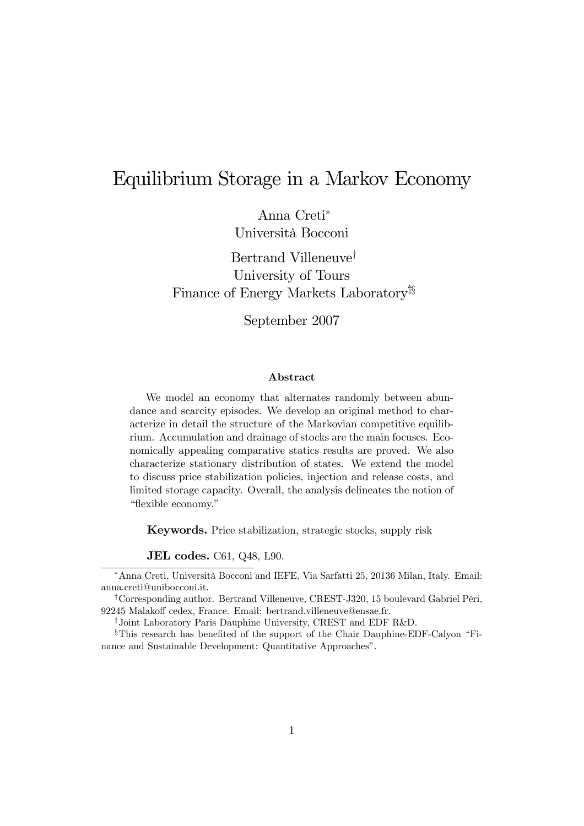# Equilibrium Storage in a Markov Economy

Anna Creti<sup>∗</sup> Università Bocconi

Bertrand Villeneuve† University of Tours Finance of Energy Markets Laboratory<sup>†§</sup>

September 2007

#### Abstract

We model an economy that alternates randomly between abundance and scarcity episodes. We develop an original method to characterize in detail the structure of the Markovian competitive equilibrium. Accumulation and drainage of stocks are the main focuses. Economically appealing comparative statics results are proved. We also characterize stationary distribution of states. We extend the model to discuss price stabilization policies, injection and release costs, and limited storage capacity. Overall, the analysis delineates the notion of "flexible economy."

Keywords. Price stabilization, strategic stocks, supply risk

JEL codes. C61, Q48, L90.

‡Joint Laboratory Paris Dauphine University, CREST and EDF R&D.

<sup>∗</sup>Anna Creti, Università Bocconi and IEFE, Via Sarfatti 25, 20136 Milan, Italy. Email: anna.creti@unibocconi.it.

<sup>†</sup>Corresponding author. Bertrand Villeneuve, CREST-J320, 15 boulevard Gabriel Péri, 92245 Malakoff cedex, France. Email: bertrand.villeneuve@ensae.fr.

<sup>§</sup>This research has benefited of the support of the Chair Dauphine-EDF-Calyon "Finance and Sustainable Development: Quantitative Approaches".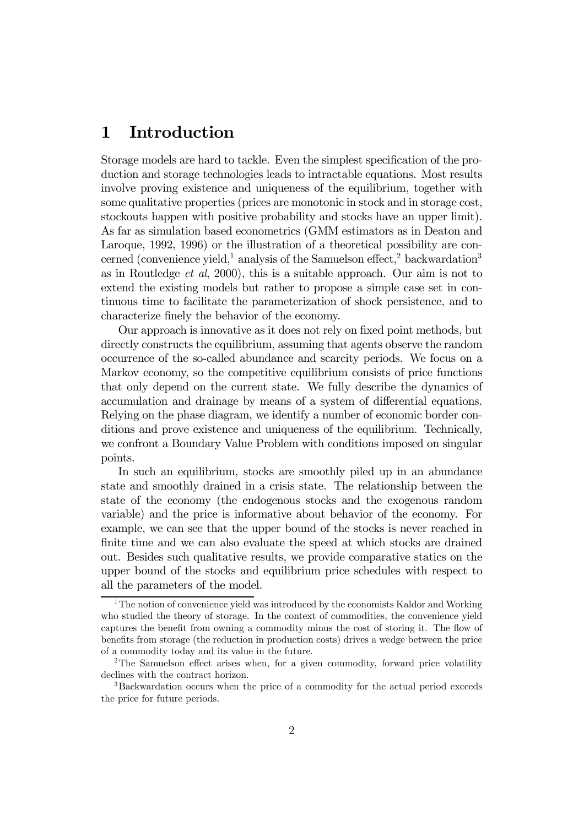# 1 Introduction

Storage models are hard to tackle. Even the simplest specification of the production and storage technologies leads to intractable equations. Most results involve proving existence and uniqueness of the equilibrium, together with some qualitative properties (prices are monotonic in stock and in storage cost, stockouts happen with positive probability and stocks have an upper limit). As far as simulation based econometrics (GMM estimators as in Deaton and Laroque, 1992, 1996) or the illustration of a theoretical possibility are concerned (convenience yield,<sup>1</sup> analysis of the Samuelson effect,<sup>2</sup> backwardation<sup>3</sup> as in Routledge et al, 2000), this is a suitable approach. Our aim is not to extend the existing models but rather to propose a simple case set in continuous time to facilitate the parameterization of shock persistence, and to characterize finely the behavior of the economy.

Our approach is innovative as it does not rely on fixed point methods, but directly constructs the equilibrium, assuming that agents observe the random occurrence of the so-called abundance and scarcity periods. We focus on a Markov economy, so the competitive equilibrium consists of price functions that only depend on the current state. We fully describe the dynamics of accumulation and drainage by means of a system of differential equations. Relying on the phase diagram, we identify a number of economic border conditions and prove existence and uniqueness of the equilibrium. Technically, we confront a Boundary Value Problem with conditions imposed on singular points.

In such an equilibrium, stocks are smoothly piled up in an abundance state and smoothly drained in a crisis state. The relationship between the state of the economy (the endogenous stocks and the exogenous random variable) and the price is informative about behavior of the economy. For example, we can see that the upper bound of the stocks is never reached in finite time and we can also evaluate the speed at which stocks are drained out. Besides such qualitative results, we provide comparative statics on the upper bound of the stocks and equilibrium price schedules with respect to all the parameters of the model.

<sup>&</sup>lt;sup>1</sup>The notion of convenience yield was introduced by the economists Kaldor and Working who studied the theory of storage. In the context of commodities, the convenience yield captures the benefit from owning a commodity minus the cost of storing it. The flow of benefits from storage (the reduction in production costs) drives a wedge between the price of a commodity today and its value in the future.

<sup>&</sup>lt;sup>2</sup>The Samuelson effect arises when, for a given commodity, forward price volatility declines with the contract horizon.

<sup>3</sup>Backwardation occurs when the price of a commodity for the actual period exceeds the price for future periods.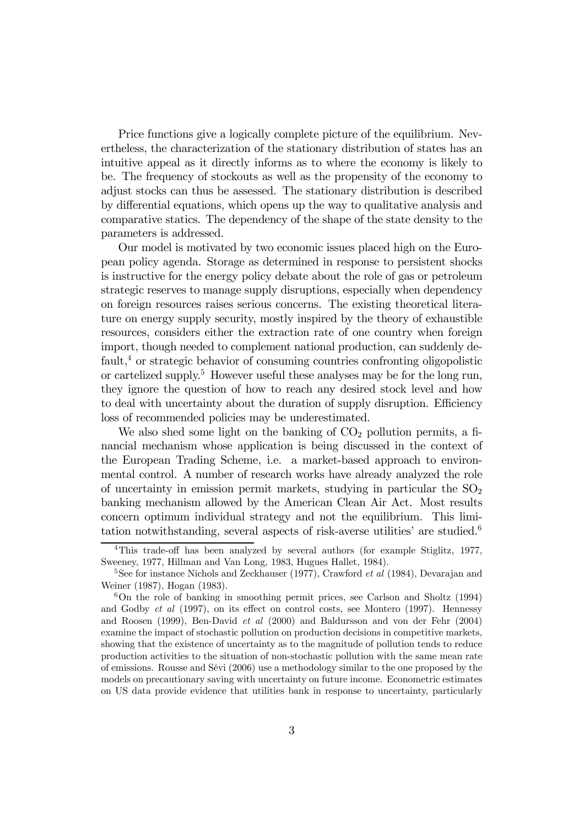Price functions give a logically complete picture of the equilibrium. Nevertheless, the characterization of the stationary distribution of states has an intuitive appeal as it directly informs as to where the economy is likely to be. The frequency of stockouts as well as the propensity of the economy to adjust stocks can thus be assessed. The stationary distribution is described by differential equations, which opens up the way to qualitative analysis and comparative statics. The dependency of the shape of the state density to the parameters is addressed.

Our model is motivated by two economic issues placed high on the European policy agenda. Storage as determined in response to persistent shocks is instructive for the energy policy debate about the role of gas or petroleum strategic reserves to manage supply disruptions, especially when dependency on foreign resources raises serious concerns. The existing theoretical literature on energy supply security, mostly inspired by the theory of exhaustible resources, considers either the extraction rate of one country when foreign import, though needed to complement national production, can suddenly default,4 or strategic behavior of consuming countries confronting oligopolistic or cartelized supply.<sup>5</sup> However useful these analyses may be for the long run, they ignore the question of how to reach any desired stock level and how to deal with uncertainty about the duration of supply disruption. Efficiency loss of recommended policies may be underestimated.

We also shed some light on the banking of  $CO<sub>2</sub>$  pollution permits, a financial mechanism whose application is being discussed in the context of the European Trading Scheme, i.e. a market-based approach to environmental control. A number of research works have already analyzed the role of uncertainty in emission permit markets, studying in particular the  $SO<sub>2</sub>$ banking mechanism allowed by the American Clean Air Act. Most results concern optimum individual strategy and not the equilibrium. This limitation notwithstanding, several aspects of risk-averse utilities' are studied.6

<sup>4</sup>This trade-off has been analyzed by several authors (for example Stiglitz, 1977, Sweeney, 1977, Hillman and Van Long, 1983, Hugues Hallet, 1984).

<sup>&</sup>lt;sup>5</sup>See for instance Nichols and Zeckhauser (1977), Crawford *et al* (1984), Devarajan and Weiner (1987), Hogan (1983).

<sup>&</sup>lt;sup>6</sup>On the role of banking in smoothing permit prices, see Carlson and Sholtz (1994) and Godby *et al* (1997), on its effect on control costs, see Montero (1997). Hennessy and Roosen (1999), Ben-David et al (2000) and Baldursson and von der Fehr (2004) examine the impact of stochastic pollution on production decisions in competitive markets, showing that the existence of uncertainty as to the magnitude of pollution tends to reduce production activities to the situation of non-stochastic pollution with the same mean rate of emissions. Rousse and Sévi (2006) use a methodology similar to the one proposed by the models on precautionary saving with uncertainty on future income. Econometric estimates on US data provide evidence that utilities bank in response to uncertainty, particularly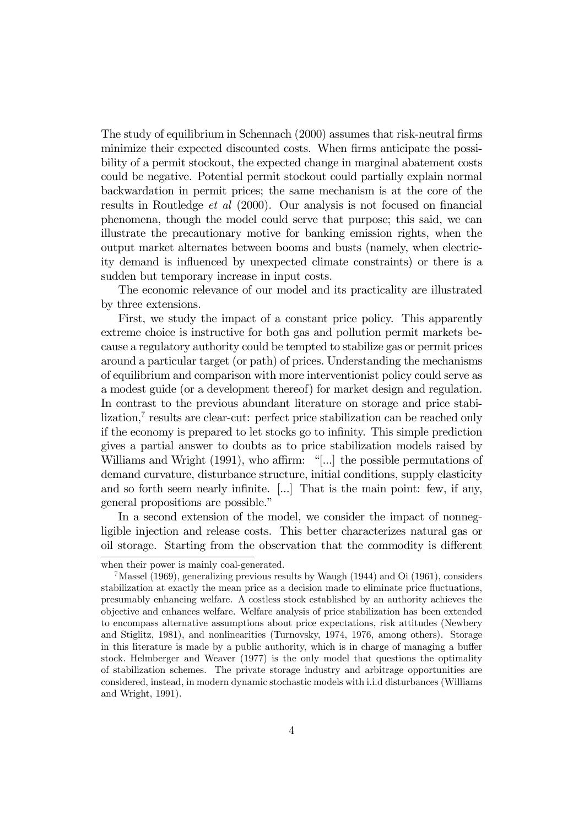The study of equilibrium in Schennach (2000) assumes that risk-neutral firms minimize their expected discounted costs. When firms anticipate the possibility of a permit stockout, the expected change in marginal abatement costs could be negative. Potential permit stockout could partially explain normal backwardation in permit prices; the same mechanism is at the core of the results in Routledge et al (2000). Our analysis is not focused on financial phenomena, though the model could serve that purpose; this said, we can illustrate the precautionary motive for banking emission rights, when the output market alternates between booms and busts (namely, when electricity demand is influenced by unexpected climate constraints) or there is a sudden but temporary increase in input costs.

The economic relevance of our model and its practicality are illustrated by three extensions.

First, we study the impact of a constant price policy. This apparently extreme choice is instructive for both gas and pollution permit markets because a regulatory authority could be tempted to stabilize gas or permit prices around a particular target (or path) of prices. Understanding the mechanisms of equilibrium and comparison with more interventionist policy could serve as a modest guide (or a development thereof) for market design and regulation. In contrast to the previous abundant literature on storage and price stabilization,<sup>7</sup> results are clear-cut: perfect price stabilization can be reached only if the economy is prepared to let stocks go to infinity. This simple prediction gives a partial answer to doubts as to price stabilization models raised by Williams and Wright (1991), who affirm: "[...] the possible permutations of demand curvature, disturbance structure, initial conditions, supply elasticity and so forth seem nearly infinite. [...] That is the main point: few, if any, general propositions are possible."

In a second extension of the model, we consider the impact of nonnegligible injection and release costs. This better characterizes natural gas or oil storage. Starting from the observation that the commodity is different

when their power is mainly coal-generated.

 $7$ Massel (1969), generalizing previous results by Waugh (1944) and Oi (1961), considers stabilization at exactly the mean price as a decision made to eliminate price fluctuations, presumably enhancing welfare. A costless stock established by an authority achieves the objective and enhances welfare. Welfare analysis of price stabilization has been extended to encompass alternative assumptions about price expectations, risk attitudes (Newbery and Stiglitz, 1981), and nonlinearities (Turnovsky, 1974, 1976, among others). Storage in this literature is made by a public authority, which is in charge of managing a buffer stock. Helmberger and Weaver (1977) is the only model that questions the optimality of stabilization schemes. The private storage industry and arbitrage opportunities are considered, instead, in modern dynamic stochastic models with i.i.d disturbances (Williams and Wright, 1991).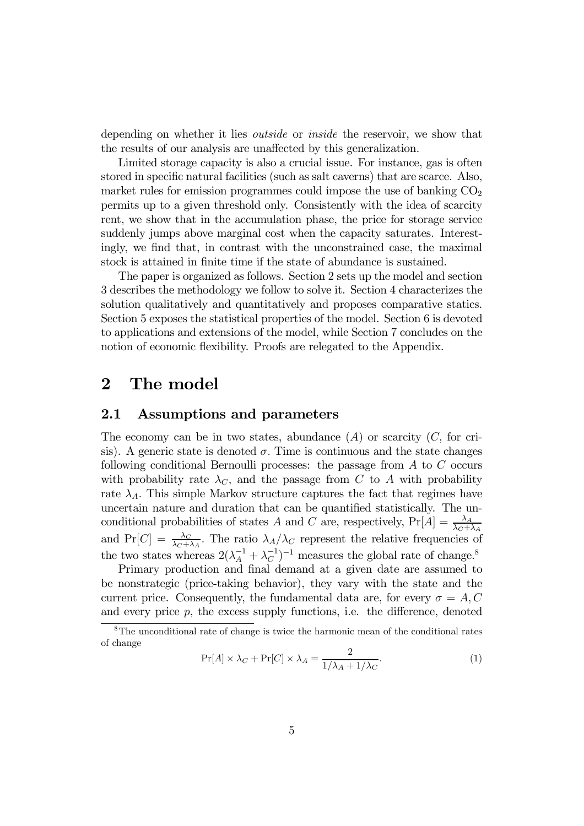depending on whether it lies *outside* or *inside* the reservoir, we show that the results of our analysis are unaffected by this generalization.

Limited storage capacity is also a crucial issue. For instance, gas is often stored in specific natural facilities (such as salt caverns) that are scarce. Also, market rules for emission programmes could impose the use of banking  $CO<sub>2</sub>$ permits up to a given threshold only. Consistently with the idea of scarcity rent, we show that in the accumulation phase, the price for storage service suddenly jumps above marginal cost when the capacity saturates. Interestingly, we find that, in contrast with the unconstrained case, the maximal stock is attained in finite time if the state of abundance is sustained.

The paper is organized as follows. Section 2 sets up the model and section 3 describes the methodology we follow to solve it. Section 4 characterizes the solution qualitatively and quantitatively and proposes comparative statics. Section 5 exposes the statistical properties of the model. Section 6 is devoted to applications and extensions of the model, while Section 7 concludes on the notion of economic flexibility. Proofs are relegated to the Appendix.

# 2 The model

### 2.1 Assumptions and parameters

The economy can be in two states, abundance  $(A)$  or scarcity  $(C,$  for crisis). A generic state is denoted  $\sigma$ . Time is continuous and the state changes following conditional Bernoulli processes: the passage from A to C occurs with probability rate  $\lambda_C$ , and the passage from C to A with probability rate  $\lambda_A$ . This simple Markov structure captures the fact that regimes have uncertain nature and duration that can be quantified statistically. The unconditional probabilities of states A and C are, respectively,  $Pr[A] = \frac{\lambda_A}{\lambda_C + \lambda_A}$ and Pr[C] =  $\frac{\lambda_C}{\lambda_C + \lambda_A}$ . The ratio  $\lambda_A/\lambda_C$  represent the relative frequencies of the two states whereas  $2(\lambda_A^{-1} + \lambda_C^{-1})^{-1}$  measures the global rate of change.<sup>8</sup>

Primary production and final demand at a given date are assumed to be nonstrategic (price-taking behavior), they vary with the state and the current price. Consequently, the fundamental data are, for every  $\sigma = A, C$ and every price  $p$ , the excess supply functions, i.e. the difference, denoted

$$
\Pr[A] \times \lambda_C + \Pr[C] \times \lambda_A = \frac{2}{1/\lambda_A + 1/\lambda_C}.\tag{1}
$$

<sup>8</sup>The unconditional rate of change is twice the harmonic mean of the conditional rates of change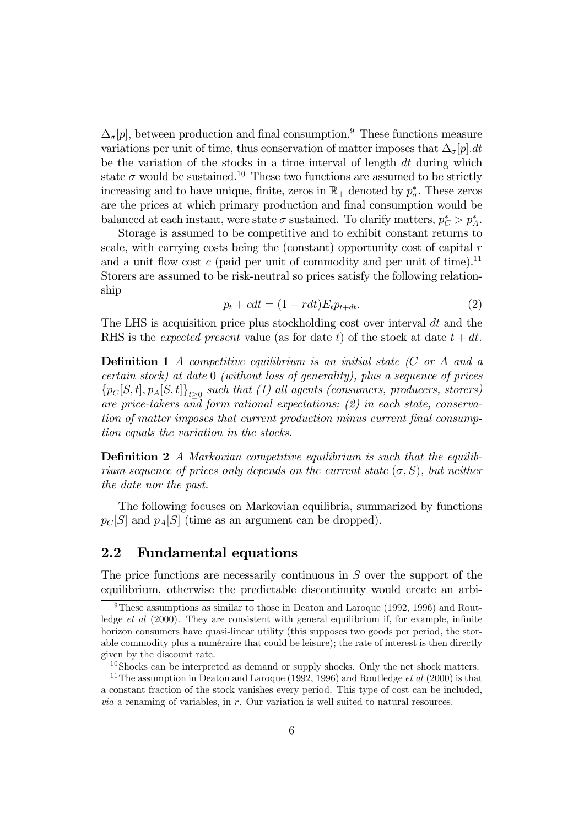$\Delta_{\sigma}[p]$ , between production and final consumption.<sup>9</sup> These functions measure variations per unit of time, thus conservation of matter imposes that  $\Delta_{\sigma}[p].dt$ be the variation of the stocks in a time interval of length dt during which state  $\sigma$  would be sustained.<sup>10</sup> These two functions are assumed to be strictly increasing and to have unique, finite, zeros in  $\mathbb{R}_+$  denoted by  $p^*_{\sigma}$ . These zeros are the prices at which primary production and final consumption would be balanced at each instant, were state  $\sigma$  sustained. To clarify matters,  $p_C^* > p_A^*$ .

Storage is assumed to be competitive and to exhibit constant returns to scale, with carrying costs being the (constant) opportunity cost of capital  $r$ and a unit flow cost  $c$  (paid per unit of commodity and per unit of time).<sup>11</sup> Storers are assumed to be risk-neutral so prices satisfy the following relationship

$$
p_t + cdt = (1 - rdt)E_t p_{t+dt}.
$$
\n(2)

The LHS is acquisition price plus stockholding cost over interval  $dt$  and the RHS is the *expected present* value (as for date t) of the stock at date  $t + dt$ .

**Definition 1** A competitive equilibrium is an initial state  $(C \text{ or } A \text{ and } a$ certain stock) at date 0 (without loss of generality), plus a sequence of prices  ${p_C[S, t], p_A[S, t]}_{t\geq 0}$  such that (1) all agents (consumers, producers, storers) are price-takers and form rational expectations; (2) in each state, conservation of matter imposes that current production minus current final consumption equals the variation in the stocks.

Definition 2 A Markovian competitive equilibrium is such that the equilibrium sequence of prices only depends on the current state  $(\sigma, S)$ , but neither the date nor the past.

The following focuses on Markovian equilibria, summarized by functions  $p_C[S]$  and  $p_A[S]$  (time as an argument can be dropped).

## 2.2 Fundamental equations

The price functions are necessarily continuous in S over the support of the equilibrium, otherwise the predictable discontinuity would create an arbi-

<sup>&</sup>lt;sup>9</sup>These assumptions as similar to those in Deaton and Laroque (1992, 1996) and Routledge *et al* (2000). They are consistent with general equilibrium if, for example, infinite horizon consumers have quasi-linear utility (this supposes two goods per period, the storable commodity plus a numéraire that could be leisure); the rate of interest is then directly given by the discount rate.

 $10$ Shocks can be interpreted as demand or supply shocks. Only the net shock matters.

<sup>&</sup>lt;sup>11</sup>The assumption in Deaton and Laroque (1992, 1996) and Routledge *et al* (2000) is that a constant fraction of the stock vanishes every period. This type of cost can be included, *via* a renaming of variables, in  $r$ . Our variation is well suited to natural resources.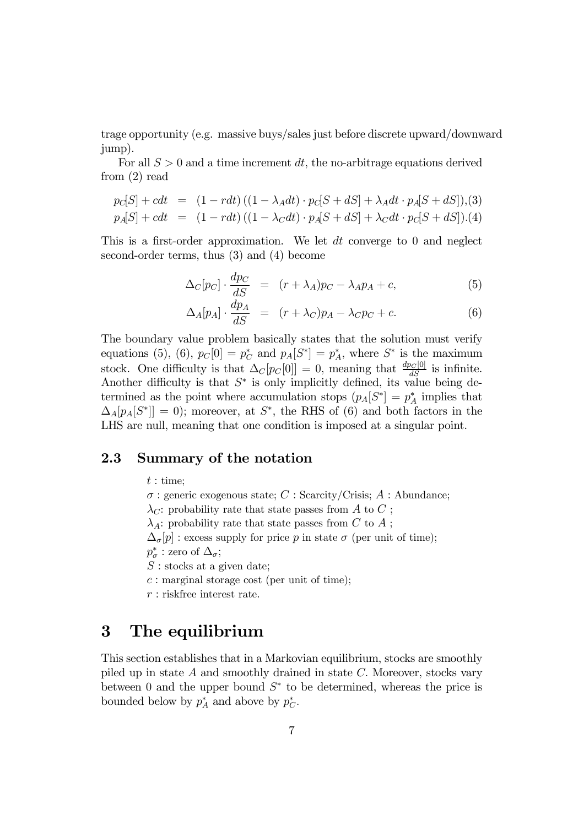trage opportunity (e.g. massive buys/sales just before discrete upward/downward jump).

For all  $S > 0$  and a time increment dt, the no-arbitrage equations derived from (2) read

$$
p_C[S] + cdt = (1 - rdt) ((1 - \lambda_A dt) \cdot p_C[S + dS] + \lambda_A dt \cdot p_A[S + dS]), (3)
$$
  
\n
$$
p_A[S] + cdt = (1 - rdt) ((1 - \lambda_C dt) \cdot p_A[S + dS] + \lambda_C dt \cdot p_C[S + dS]).(4)
$$

This is a first-order approximation. We let dt converge to 0 and neglect second-order terms, thus (3) and (4) become

$$
\Delta_C[p_C] \cdot \frac{dp_C}{dS} = (r + \lambda_A)p_C - \lambda_A p_A + c,\tag{5}
$$

$$
\Delta_A[p_A] \cdot \frac{dp_A}{dS} = (r + \lambda_C)p_A - \lambda_C p_C + c. \tag{6}
$$

The boundary value problem basically states that the solution must verify equations (5), (6),  $p_C[0] = p_C^*$  and  $p_A[S^*] = p_A^*$ , where  $S^*$  is the maximum stock. One difficulty is that  $\Delta_C[p_C[0]] = 0$ , meaning that  $\frac{dp_C[0]}{dS}$  is infinite. Another difficulty is that  $S^*$  is only implicitly defined, its value being determined as the point where accumulation stops  $(p_A[S^*] = p_A^*$  implies that  $\Delta_A[p_A|S^*]] = 0$ ; moreover, at  $S^*$ , the RHS of (6) and both factors in the LHS are null, meaning that one condition is imposed at a singular point.

## 2.3 Summary of the notation

 $t:$  time;

 $\sigma$ : generic exogenous state; C : Scarcity/Crisis; A : Abundance;  $\lambda_C$ : probability rate that state passes from A to C;  $\lambda_A$ : probability rate that state passes from C to A;  $\Delta_{\sigma}[p]$  : excess supply for price p in state  $\sigma$  (per unit of time);  $p^*_{\sigma}$  : zero of  $\Delta_{\sigma}$ ;  $S:$  stocks at a given date;  $c:$  marginal storage cost (per unit of time); r : riskfree interest rate.

# 3 The equilibrium

This section establishes that in a Markovian equilibrium, stocks are smoothly piled up in state  $A$  and smoothly drained in state  $C$ . Moreover, stocks vary between 0 and the upper bound  $S^*$  to be determined, whereas the price is bounded below by  $p_A^*$  and above by  $p_C^*$ .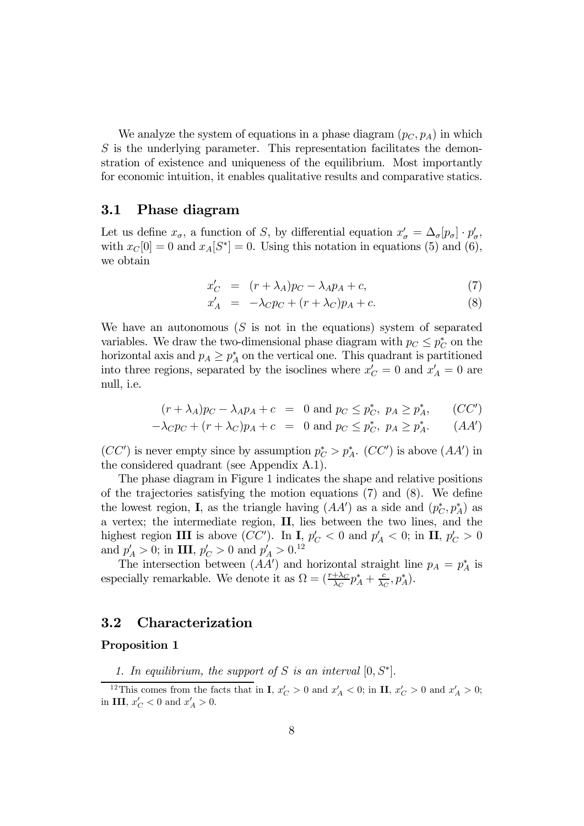We analyze the system of equations in a phase diagram  $(p_C, p_A)$  in which S is the underlying parameter. This representation facilitates the demonstration of existence and uniqueness of the equilibrium. Most importantly for economic intuition, it enables qualitative results and comparative statics.

### 3.1 Phase diagram

Let us define  $x_{\sigma}$ , a function of S, by differential equation  $x'_{\sigma} = \Delta_{\sigma}[p_{\sigma}] \cdot p'_{\sigma}$ , with  $x_C[0] = 0$  and  $x_A[S^*]=0$ . Using this notation in equations (5) and (6), we obtain

$$
x_C' = (r + \lambda_A)p_C - \lambda_A p_A + c,\tag{7}
$$

$$
x'_A = -\lambda_C p_C + (r + \lambda_C) p_A + c. \tag{8}
$$

We have an autonomous  $(S$  is not in the equations) system of separated variables. We draw the two-dimensional phase diagram with  $p_C \leq p_C^*$  on the horizontal axis and  $p_A \geq p_A^*$  on the vertical one. This quadrant is partitioned into three regions, separated by the isoclines where  $x_C' = 0$  and  $x_A' = 0$  are null, i.e.

$$
(r + \lambda_A)p_C - \lambda_A p_A + c = 0 \text{ and } p_C \leq p_C^*, \ p_A \geq p_A^*, \qquad (CC')
$$

$$
-\lambda_{C}p_{C} + (r + \lambda_{C})p_{A} + c = 0 \text{ and } p_{C} \leq p_{C}^{*}, p_{A} \geq p_{A}^{*}. \qquad (AA')
$$

 $(CC')$  is never empty since by assumption  $p_C^* > p_A^*$ .  $(CC')$  is above  $(AA')$  in the considered quadrant (see Appendix A.1).

The phase diagram in Figure 1 indicates the shape and relative positions of the trajectories satisfying the motion equations (7) and (8). We define the lowest region, **I**, as the triangle having  $(AA')$  as a side and  $(p_C^*, p_A^*)$  as a vertex; the intermediate region, II, lies between the two lines, and the highest region III is above (CC'). In I,  $p'_C < 0$  and  $p'_A < 0$ ; in II,  $p'_C > 0$ and  $p'_A > 0$ ; in III,  $p'_C > 0$  and  $p'_A > 0$ .<sup>12</sup>

The intersection between  $(AA')$  and horizontal straight line  $p_A = p_A^*$  is especially remarkable. We denote it as  $\Omega = (\frac{r + \lambda_C}{\lambda_C} p_A^* + \frac{c}{\lambda_C}, p_A^*).$ 

### 3.2 Characterization

#### Proposition 1

1. In equilibrium, the support of S is an interval  $[0, S^*]$ .

<sup>&</sup>lt;sup>12</sup>This comes from the facts that in **I**,  $x'_C > 0$  and  $x'_A < 0$ ; in **II**,  $x'_C > 0$  and  $x'_A > 0$ ; in III,  $x_C' < 0$  and  $x_A' > 0$ .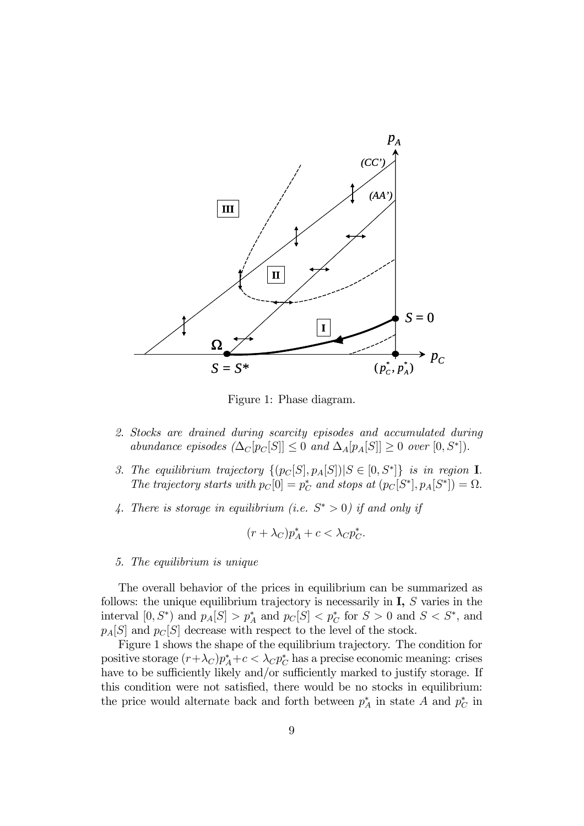

Figure 1: Phase diagram.

- 2. Stocks are drained during scarcity episodes and accumulated during abundance episodes  $(\Delta_C[p_C[S]] \leq 0$  and  $\Delta_A[p_A[S]] \geq 0$  over  $[0, S^*])$ .
- 3. The equilibrium trajectory  $\{(p_C[S], p_A[S]) | S \in [0, S^*]\}$  is in region **I**. The trajectory starts with  $p_C[0] = p_C^*$  and stops at  $(p_C[S^*], p_A[S^*]) = \Omega$ .
- 4. There is storage in equilibrium (i.e.  $S^* > 0$ ) if and only if

$$
(r + \lambda_C)p_A^* + c < \lambda_C p_C^*.
$$

#### 5. The equilibrium is unique

The overall behavior of the prices in equilibrium can be summarized as follows: the unique equilibrium trajectory is necessarily in  $I, S$  varies in the interval  $[0, S^*)$  and  $p_A[S] > p_A^*$  and  $p_C[S] < p_C^*$  for  $S > 0$  and  $S < S^*$ , and  $p_A[S]$  and  $p_C[S]$  decrease with respect to the level of the stock.

Figure 1 shows the shape of the equilibrium trajectory. The condition for positive storage  $(r + \lambda_C)p_A^* + c < \lambda_C p_C^*$  has a precise economic meaning: crises have to be sufficiently likely and/or sufficiently marked to justify storage. If this condition were not satisfied, there would be no stocks in equilibrium: the price would alternate back and forth between  $p_A^*$  in state A and  $p_C^*$  in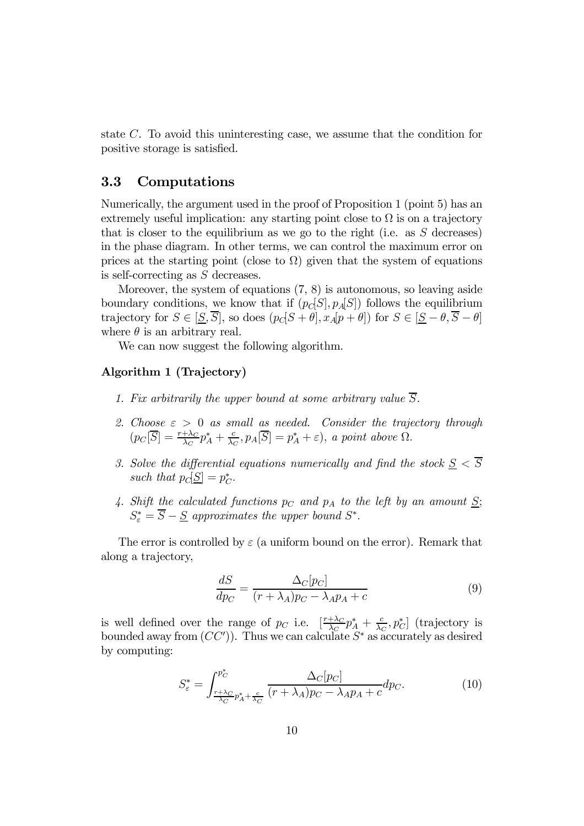state C. To avoid this uninteresting case, we assume that the condition for positive storage is satisfied.

## 3.3 Computations

Numerically, the argument used in the proof of Proposition 1 (point 5) has an extremely useful implication: any starting point close to  $\Omega$  is on a trajectory that is closer to the equilibrium as we go to the right (i.e. as  $S$  decreases) in the phase diagram. In other terms, we can control the maximum error on prices at the starting point (close to  $\Omega$ ) given that the system of equations is self-correcting as S decreases.

Moreover, the system of equations (7, 8) is autonomous, so leaving aside boundary conditions, we know that if  $(p_C[S], p_A[S])$  follows the equilibrium trajectory for  $S \in [\underline{S}, \overline{S}]$ , so does  $(p_C[S + \theta], x_A[p + \theta])$  for  $S \in [\underline{S} - \theta, \overline{S} - \theta]$ where  $\theta$  is an arbitrary real.

We can now suggest the following algorithm.

#### Algorithm 1 (Trajectory)

- 1. Fix arbitrarily the upper bound at some arbitrary value  $\overline{S}$ .
- 2. Choose  $\varepsilon > 0$  as small as needed. Consider the trajectory through  $(p_C[\overline{S}] = \frac{r + \lambda_C}{\lambda_C} p_A^* + \frac{c}{\lambda_C}, p_A[\overline{S}] = p_A^* + \varepsilon), \ a \ point \ above \ \Omega.$
- 3. Solve the differential equations numerically and find the stock  $S < \overline{S}$ such that  $p_C[\underline{S}] = p_C^*$ .
- 4. Shift the calculated functions  $p_C$  and  $p_A$  to the left by an amount  $S$ ;  $S_{\varepsilon}^* = S - \underline{S}$  approximates the upper bound  $S^*$ .

The error is controlled by  $\varepsilon$  (a uniform bound on the error). Remark that along a trajectory,

$$
\frac{dS}{dp_C} = \frac{\Delta_C[p_C]}{(r + \lambda_A)p_C - \lambda_A p_A + c} \tag{9}
$$

is well defined over the range of p<sub>C</sub> i.e.  $\left[\frac{r+\lambda_C}{\lambda_C}p_A^* + \frac{c}{\lambda_C}, p_C^*\right]$  (trajectory is bounded away from  $(CC')$ ). Thus we can calculate  $S^*$  as accurately as desired by computing:

$$
S_{\varepsilon}^* = \int_{\frac{r+\lambda_C}{\lambda_C} p_A^* + \frac{c}{\lambda_C}}^{\frac{p_C^*}{p_C^*}} \frac{\Delta_C[p_C]}{(r+\lambda_A)p_C - \lambda_A p_A + c} dp_C.
$$
 (10)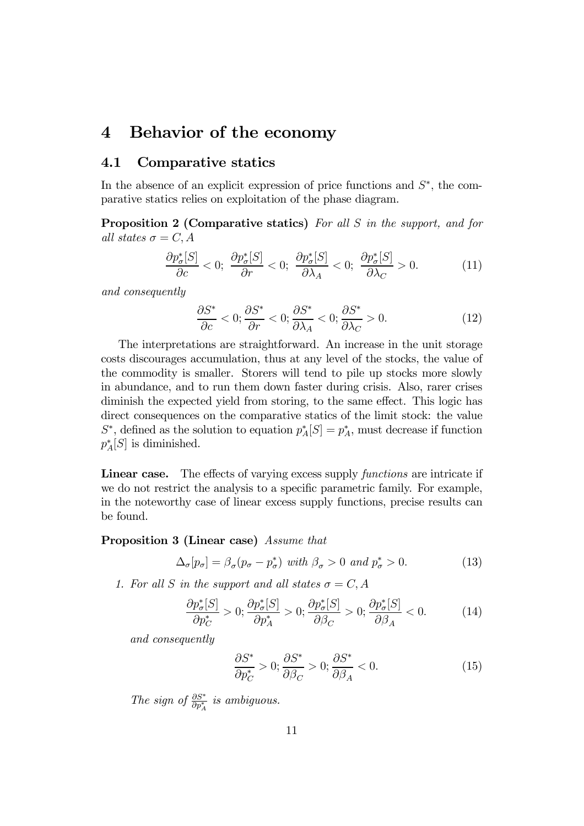## 4 Behavior of the economy

## 4.1 Comparative statics

In the absence of an explicit expression of price functions and  $S^*$ , the comparative statics relies on exploitation of the phase diagram.

Proposition 2 (Comparative statics) For all S in the support, and for all states  $\sigma = C, A$ 

$$
\frac{\partial p_{\sigma}^*[S]}{\partial c} < 0; \quad \frac{\partial p_{\sigma}^*[S]}{\partial r} < 0; \quad \frac{\partial p_{\sigma}^*[S]}{\partial \lambda_A} < 0; \quad \frac{\partial p_{\sigma}^*[S]}{\partial \lambda_C} > 0. \tag{11}
$$

and consequently

$$
\frac{\partial S^*}{\partial c} < 0; \frac{\partial S^*}{\partial r} < 0; \frac{\partial S^*}{\partial \lambda_A} < 0; \frac{\partial S^*}{\partial \lambda_C} > 0. \tag{12}
$$

The interpretations are straightforward. An increase in the unit storage costs discourages accumulation, thus at any level of the stocks, the value of the commodity is smaller. Storers will tend to pile up stocks more slowly in abundance, and to run them down faster during crisis. Also, rarer crises diminish the expected yield from storing, to the same effect. This logic has direct consequences on the comparative statics of the limit stock: the value  $S^*$ , defined as the solution to equation  $p_A^*[S] = p_A^*$ , must decrease if function  $p_A^*[S]$  is diminished.

Linear case. The effects of varying excess supply *functions* are intricate if we do not restrict the analysis to a specific parametric family. For example, in the noteworthy case of linear excess supply functions, precise results can be found.

#### Proposition 3 (Linear case) Assume that

$$
\Delta_{\sigma}[p_{\sigma}] = \beta_{\sigma}(p_{\sigma} - p_{\sigma}^*) \text{ with } \beta_{\sigma} > 0 \text{ and } p_{\sigma}^* > 0. \tag{13}
$$

1. For all S in the support and all states  $\sigma = C, A$ 

$$
\frac{\partial p_{\sigma}^*[S]}{\partial p_C^*} > 0; \frac{\partial p_{\sigma}^*[S]}{\partial p_A^*} > 0; \frac{\partial p_{\sigma}^*[S]}{\partial \beta_C} > 0; \frac{\partial p_{\sigma}^*[S]}{\partial \beta_A} < 0.
$$
 (14)

and consequently

$$
\frac{\partial S^*}{\partial p_C^*} > 0; \frac{\partial S^*}{\partial \beta_C} > 0; \frac{\partial S^*}{\partial \beta_A} < 0.
$$
 (15)

The sign of  $\frac{\partial S^*}{\partial p_A^*}$  is ambiguous.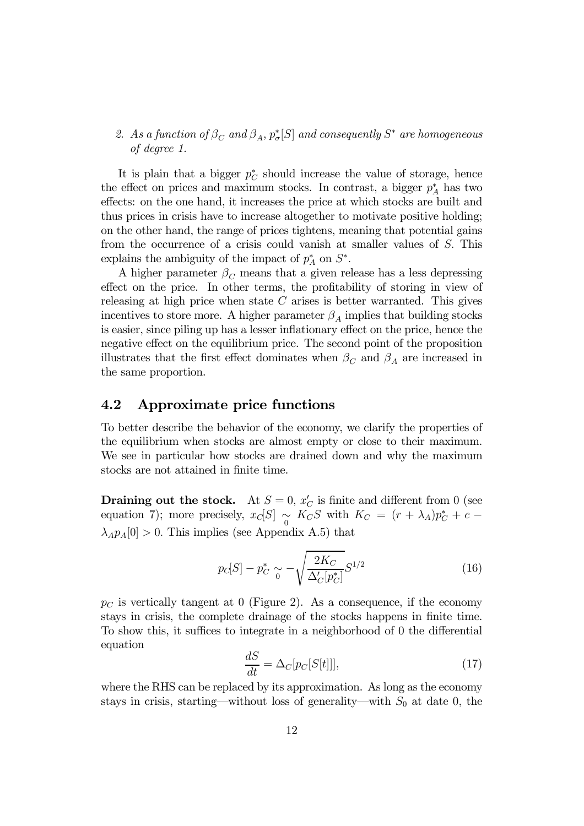## 2. As a function of  $\beta_C$  and  $\beta_A$ ,  $p^*_\sigma[S]$  and consequently  $S^*$  are homogeneous of degree 1.

It is plain that a bigger  $p_C^*$  should increase the value of storage, hence the effect on prices and maximum stocks. In contrast, a bigger  $p_A^*$  has two effects: on the one hand, it increases the price at which stocks are built and thus prices in crisis have to increase altogether to motivate positive holding; on the other hand, the range of prices tightens, meaning that potential gains from the occurrence of a crisis could vanish at smaller values of S. This explains the ambiguity of the impact of  $p_A^*$  on  $S^*$ .

A higher parameter  $\beta_C$  means that a given release has a less depressing effect on the price. In other terms, the profitability of storing in view of releasing at high price when state  $C$  arises is better warranted. This gives incentives to store more. A higher parameter  $\beta_A$  implies that building stocks is easier, since piling up has a lesser inflationary effect on the price, hence the negative effect on the equilibrium price. The second point of the proposition illustrates that the first effect dominates when  $\beta_C$  and  $\beta_A$  are increased in the same proportion.

## 4.2 Approximate price functions

To better describe the behavior of the economy, we clarify the properties of the equilibrium when stocks are almost empty or close to their maximum. We see in particular how stocks are drained down and why the maximum stocks are not attained in finite time.

**Draining out the stock.** At  $S = 0$ ,  $x_C'$  is finite and different from 0 (see equation 7); more precisely,  $x_C[S] \underset{0}{\sim} K_C S$  with  $K_C = (r + \lambda_A)p_C^* + c \lambda_A p_A[0] > 0$ . This implies (see Appendix A.5) that

$$
p_C[S] - p_C^* \sim -\sqrt{\frac{2K_C}{\Delta'_C[p_C^*]}} S^{1/2}
$$
\n(16)

 $p<sub>C</sub>$  is vertically tangent at 0 (Figure 2). As a consequence, if the economy stays in crisis, the complete drainage of the stocks happens in finite time. To show this, it suffices to integrate in a neighborhood of 0 the differential equation

$$
\frac{dS}{dt} = \Delta_C[p_C[S[t]]],\tag{17}
$$

where the RHS can be replaced by its approximation. As long as the economy stays in crisis, starting—without loss of generality—with  $S_0$  at date 0, the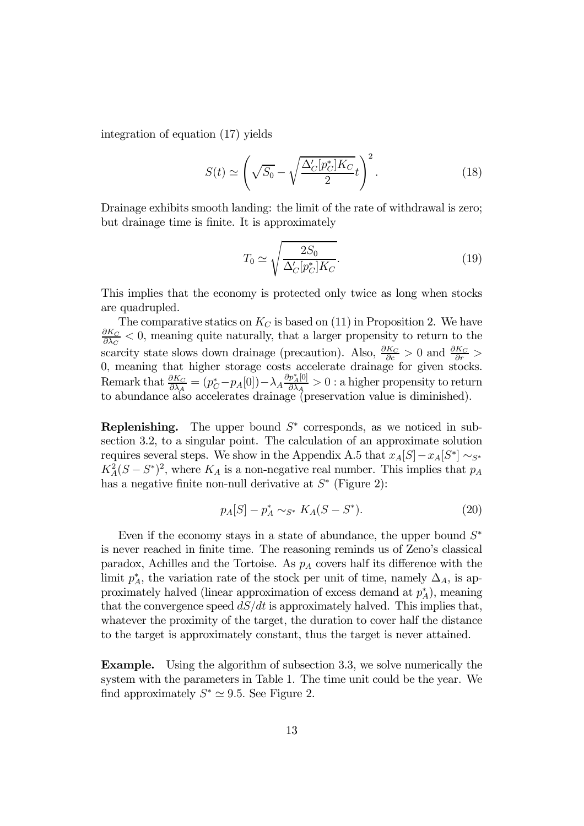integration of equation (17) yields

$$
S(t) \simeq \left(\sqrt{S_0} - \sqrt{\frac{\Delta'_C[p_C^*]K_C}{2}}t\right)^2.
$$
 (18)

Drainage exhibits smooth landing: the limit of the rate of withdrawal is zero; but drainage time is finite. It is approximately

$$
T_0 \simeq \sqrt{\frac{2S_0}{\Delta_C'[p_C^*]K_C}}.\tag{19}
$$

This implies that the economy is protected only twice as long when stocks are quadrupled.

The comparative statics on  $K_C$  is based on (11) in Proposition 2. We have  $\frac{\partial K_C}{\partial \lambda_C}$  < 0, meaning quite naturally, that a larger propensity to return to the scarcity state slows down drainage (precaution). Also,  $\frac{\partial K_C}{\partial c} > 0$  and  $\frac{\partial K_C}{\partial r} >$ 0, meaning that higher storage costs accelerate drainage for given stocks. Remark that  $\frac{\partial K_C}{\partial \lambda_A} = (p_C^* - p_A[0]) - \lambda_A \frac{\partial p_A^*[0]}{\partial \lambda_A} > 0$  : a higher propensity to return to abundance also accelerates drainage (preservation value is diminished).

Replenishing. The upper bound  $S<sup>*</sup>$  corresponds, as we noticed in subsection 3.2, to a singular point. The calculation of an approximate solution requires several steps. We show in the Appendix A.5 that  $x_A[S]-x_A[S^*] \sim_{S^*}$  $K_A^2(S - S^*)^2$ , where  $K_A$  is a non-negative real number. This implies that  $p_A$ has a negative finite non-null derivative at  $S^*$  (Figure 2):

$$
p_A[S] - p_A^* \sim_{S^*} K_A(S - S^*). \tag{20}
$$

Even if the economy stays in a state of abundance, the upper bound  $S^*$ is never reached in finite time. The reasoning reminds us of Zeno's classical paradox, Achilles and the Tortoise. As  $p_A$  covers half its difference with the limit  $p_A^*$ , the variation rate of the stock per unit of time, namely  $\Delta_A$ , is approximately halved (linear approximation of excess demand at  $p_A^*$ ), meaning that the convergence speed  $dS/dt$  is approximately halved. This implies that, whatever the proximity of the target, the duration to cover half the distance to the target is approximately constant, thus the target is never attained.

Example. Using the algorithm of subsection 3.3, we solve numerically the system with the parameters in Table 1. The time unit could be the year. We find approximately  $S^* \simeq 9.5$ . See Figure 2.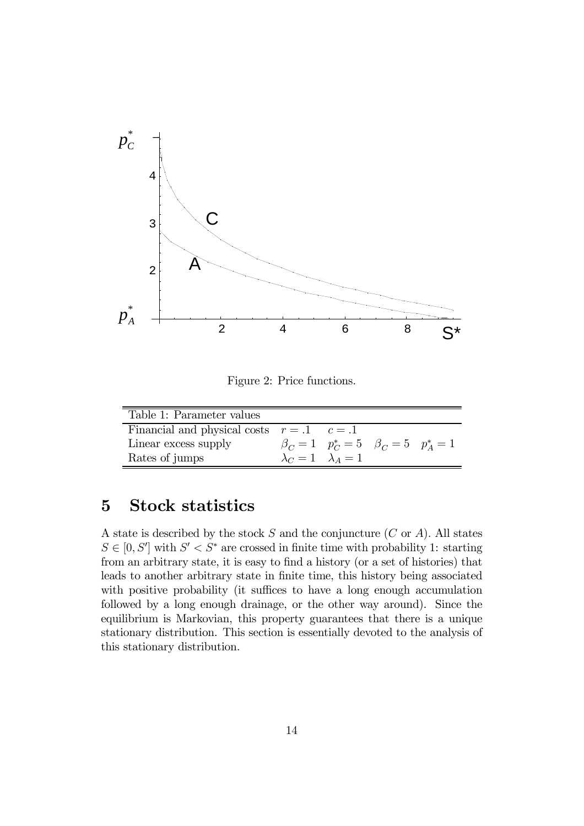

Figure 2: Price functions.

| Table 1: Parameter values                      |                                 |                                                     |  |
|------------------------------------------------|---------------------------------|-----------------------------------------------------|--|
| Financial and physical costs $r = .1$ $c = .1$ |                                 |                                                     |  |
| Linear excess supply                           |                                 | $\beta_C = 1$ $p_C^* = 5$ $\beta_C = 5$ $p_A^* = 1$ |  |
| Rates of jumps                                 | $\lambda_C = 1$ $\lambda_A = 1$ |                                                     |  |

# 5 Stock statistics

A state is described by the stock  $S$  and the conjuncture  $(C \text{ or } A)$ . All states  $S \in [0, S']$  with  $S' < S^*$  are crossed in finite time with probability 1: starting from an arbitrary state, it is easy to find a history (or a set of histories) that leads to another arbitrary state in finite time, this history being associated with positive probability (it suffices to have a long enough accumulation followed by a long enough drainage, or the other way around). Since the equilibrium is Markovian, this property guarantees that there is a unique stationary distribution. This section is essentially devoted to the analysis of this stationary distribution.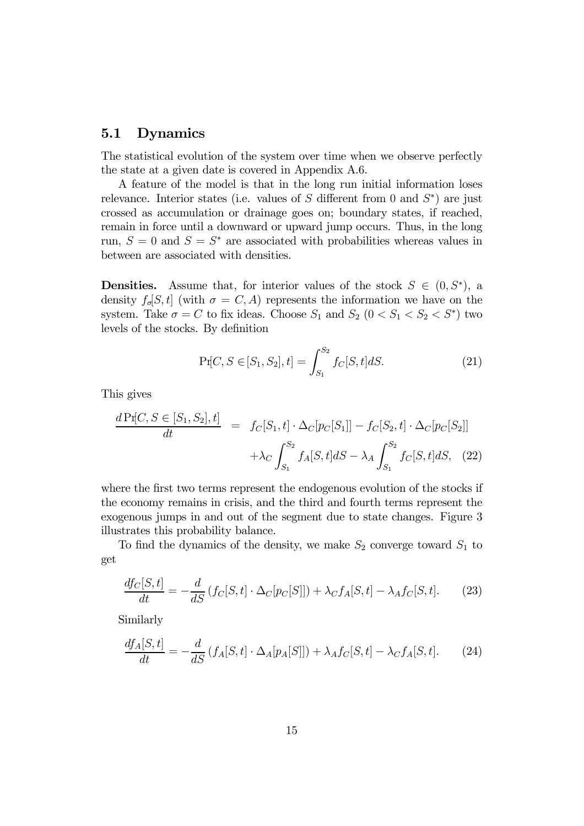## 5.1 Dynamics

The statistical evolution of the system over time when we observe perfectly the state at a given date is covered in Appendix A.6.

A feature of the model is that in the long run initial information loses relevance. Interior states (i.e. values of S different from 0 and  $S^*$ ) are just crossed as accumulation or drainage goes on; boundary states, if reached, remain in force until a downward or upward jump occurs. Thus, in the long run,  $S = 0$  and  $S = S^*$  are associated with probabilities whereas values in between are associated with densities.

**Densities.** Assume that, for interior values of the stock  $S \in (0, S^*)$ , a density  $f_{\sigma}[S, t]$  (with  $\sigma = C, A$ ) represents the information we have on the system. Take  $\sigma = C$  to fix ideas. Choose  $S_1$  and  $S_2$   $(0 < S_1 < S_2 < S^*)$  two levels of the stocks. By definition

$$
\Pr[C, S \in [S_1, S_2], t] = \int_{S_1}^{S_2} f_C[S, t] dS.
$$
 (21)

This gives

$$
\frac{d \Pr[C, S \in [S_1, S_2], t]}{dt} = f_C[S_1, t] \cdot \Delta_C[p_C[S_1]] - f_C[S_2, t] \cdot \Delta_C[p_C[S_2]]
$$

$$
+ \lambda_C \int_{S_1}^{S_2} f_A[S, t] dS - \lambda_A \int_{S_1}^{S_2} f_C[S, t] dS, \quad (22)
$$

where the first two terms represent the endogenous evolution of the stocks if the economy remains in crisis, and the third and fourth terms represent the exogenous jumps in and out of the segment due to state changes. Figure 3 illustrates this probability balance.

To find the dynamics of the density, we make  $S_2$  converge toward  $S_1$  to get

$$
\frac{df_C[S,t]}{dt} = -\frac{d}{dS} \left( f_C[S,t] \cdot \Delta_C[p_C[S]] \right) + \lambda_C f_A[S,t] - \lambda_A f_C[S,t]. \tag{23}
$$

Similarly

$$
\frac{df_A[S,t]}{dt} = -\frac{d}{dS} \left( f_A[S,t] \cdot \Delta_A[p_A[S]] \right) + \lambda_A f_C[S,t] - \lambda_C f_A[S,t]. \tag{24}
$$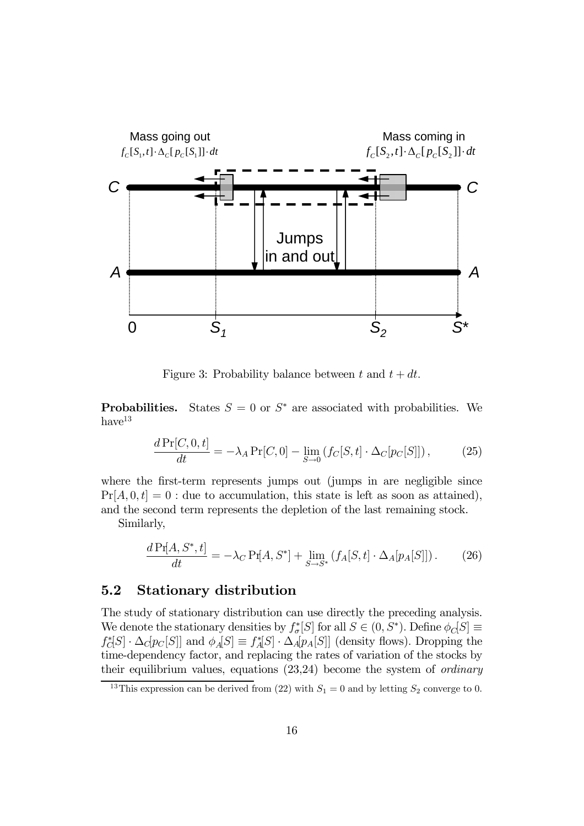

Figure 3: Probability balance between t and  $t + dt$ .

**Probabilities.** States  $S = 0$  or  $S^*$  are associated with probabilities. We  $have<sup>13</sup>$ 

$$
\frac{d\Pr[C,0,t]}{dt} = -\lambda_A \Pr[C,0] - \lim_{S \to 0} \left( f_C[S,t] \cdot \Delta_C[p_C[S]] \right),\tag{25}
$$

where the first-term represents jumps out (jumps in are negligible since  $Pr[A, 0, t]=0$ : due to accumulation, this state is left as soon as attained), and the second term represents the depletion of the last remaining stock.

Similarly,

$$
\frac{d\Pr[A, S^*, t]}{dt} = -\lambda_C \Pr[A, S^*] + \lim_{S \to S^*} \left(f_A[S, t] \cdot \Delta_A[p_A[S]]\right). \tag{26}
$$

## 5.2 Stationary distribution

The study of stationary distribution can use directly the preceding analysis. We denote the stationary densities by  $f_{\sigma}^*[S]$  for all  $S \in (0, S^*)$ . Define  $\phi_C[S] \equiv$  $f_C^*[S] \cdot \Delta_C[p_C[S]]$  and  $\phi_A[S] \equiv f_A^*[S] \cdot \Delta_A[p_A[S]]$  (density flows). Dropping the time-dependency factor, and replacing the rates of variation of the stocks by their equilibrium values, equations (23,24) become the system of ordinary

<sup>&</sup>lt;sup>13</sup>This expression can be derived from (22) with  $S_1 = 0$  and by letting  $S_2$  converge to 0.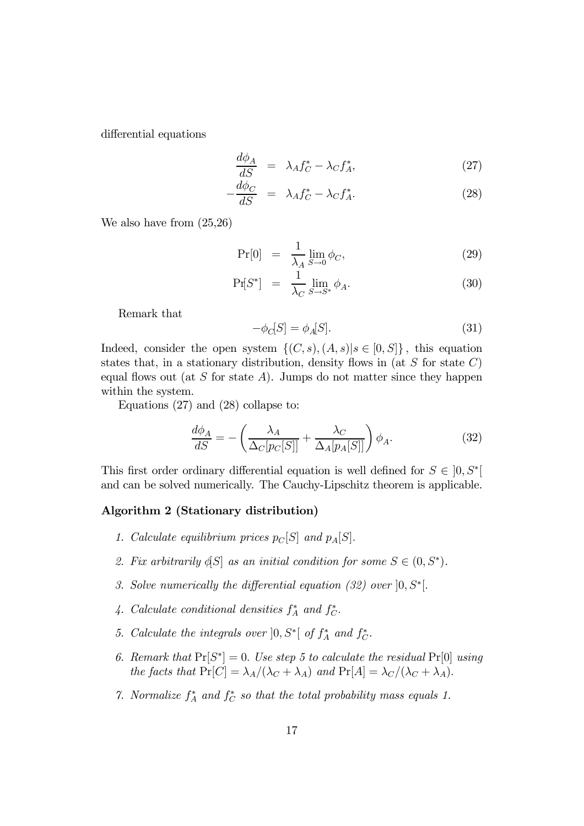differential equations

$$
\frac{d\phi_A}{dS} = \lambda_A f_C^* - \lambda_C f_A^*,\tag{27}
$$

$$
-\frac{d\phi_C}{dS} = \lambda_A f_C^* - \lambda_C f_A^*.
$$
 (28)

We also have from (25,26)

$$
\Pr[0] = \frac{1}{\lambda_A} \lim_{S \to 0} \phi_C,\tag{29}
$$

$$
\Pr[S^*] = \frac{1}{\lambda_C} \lim_{S \to S^*} \phi_A. \tag{30}
$$

Remark that

$$
-\phi_C[S] = \phi_A[S].\tag{31}
$$

Indeed, consider the open system  $\{(C, s), (A, s)|s \in [0, S]\}\,$ , this equation states that, in a stationary distribution, density flows in (at  $S$  for state  $C$ ) equal flows out (at S for state A). Jumps do not matter since they happen within the system.

Equations (27) and (28) collapse to:

$$
\frac{d\phi_A}{dS} = -\left(\frac{\lambda_A}{\Delta_C[p_C[S]]} + \frac{\lambda_C}{\Delta_A[p_A[S]]}\right)\phi_A.
$$
\n(32)

This first order ordinary differential equation is well defined for  $S \in [0, S^*]$ and can be solved numerically. The Cauchy-Lipschitz theorem is applicable.

### Algorithm 2 (Stationary distribution)

- 1. Calculate equilibrium prices  $p_C[S]$  and  $p_A[S]$ .
- 2. Fix arbitrarily  $\oint S$  as an initial condition for some  $S \in (0, S^*)$ .
- 3. Solve numerically the differential equation (32) over  $[0, S^*]$ .
- 4. Calculate conditional densities  $f_A^*$  and  $f_C^*$ .
- 5. Calculate the integrals over  $]0, S^*[$  of  $f_A^*$  and  $f_C^*$ .
- 6. Remark that  $Pr[S^*]=0$ . Use step 5 to calculate the residual  $Pr[0]$  using the facts that  $Pr[C] = \lambda_A/(\lambda_C + \lambda_A)$  and  $Pr[A] = \lambda_C/(\lambda_C + \lambda_A)$ .
- 7. Normalize  $f_A^*$  and  $f_C^*$  so that the total probability mass equals 1.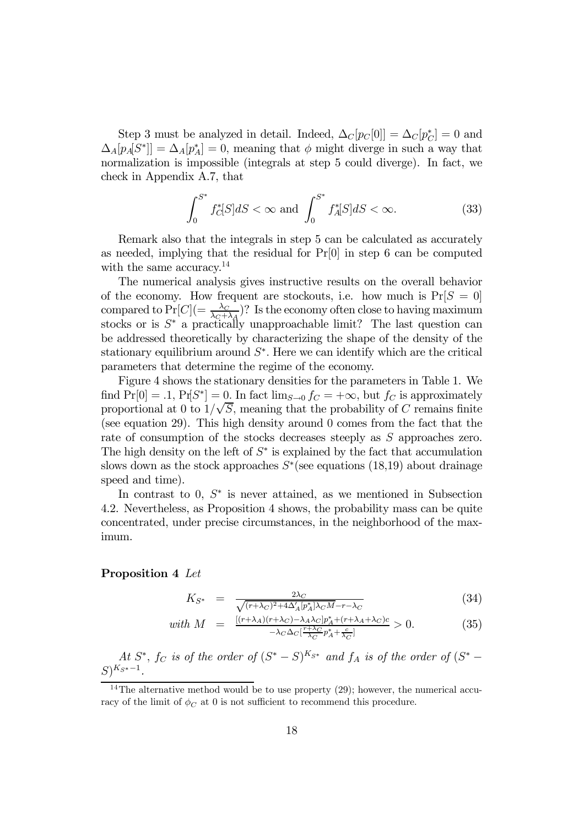Step 3 must be analyzed in detail. Indeed,  $\Delta_C[p_C[0]] = \Delta_C[p_C^*] = 0$  and  $\Delta_A[p_A|S^*]] = \Delta_A[p_A^*] = 0$ , meaning that  $\phi$  might diverge in such a way that normalization is impossible (integrals at step 5 could diverge). In fact, we check in Appendix A.7, that

$$
\int_{0}^{S^*} f_C^*[S]dS < \infty \text{ and } \int_{0}^{S^*} f_A^*[S]dS < \infty. \tag{33}
$$

Remark also that the integrals in step 5 can be calculated as accurately as needed, implying that the residual for Pr[0] in step 6 can be computed with the same accuracy.<sup>14</sup>

The numerical analysis gives instructive results on the overall behavior of the economy. How frequent are stockouts, i.e. how much is  $Pr[S = 0]$ compared to  $Pr[C] = \frac{\lambda_C}{\lambda_C + \lambda_A}$ ? Is the economy often close to having maximum stocks or is  $S^*$  a practically unapproachable limit? The last question can be addressed theoretically by characterizing the shape of the density of the stationary equilibrium around  $S^*$ . Here we can identify which are the critical parameters that determine the regime of the economy.

Figure 4 shows the stationary densities for the parameters in Table 1. We find  $Pr[0] = .1$ ,  $Pr[S^*] = 0$ . In fact  $\lim_{S\to 0} f_C = +\infty$ , but  $f_C$  is approximately proportional at 0 to  $1/\sqrt{S}$ , meaning that the probability of C remains finite (see equation 29). This high density around 0 comes from the fact that the rate of consumption of the stocks decreases steeply as S approaches zero. The high density on the left of  $S^*$  is explained by the fact that accumulation slows down as the stock approaches  $S^*$ (see equations (18,19) about drainage speed and time).

In contrast to 0,  $S^*$  is never attained, as we mentioned in Subsection 4.2. Nevertheless, as Proposition 4 shows, the probability mass can be quite concentrated, under precise circumstances, in the neighborhood of the maximum.

### Proposition 4 Let

$$
K_{S^*} = \frac{2\lambda_C}{\sqrt{(r+\lambda_C)^2 + 4\Delta_A' [p_A^*]\lambda_C M} - r - \lambda_C} \tag{34}
$$

with 
$$
M = \frac{\left[ (r + \lambda_A)(r + \lambda_C) - \lambda_A \lambda_C \right] p_A^* + (r + \lambda_A + \lambda_C) c}{-\lambda_C \Delta_C \left[ \frac{r + \lambda_C}{\lambda_C} p_A^* + \frac{c}{\lambda_C} \right]} > 0.
$$
 (35)

At  $S^*$ ,  $f_C$  is of the order of  $(S^* - S)^{K_{S^*}}$  and  $f_A$  is of the order of  $(S^* - S)^{K_{S^*}}$  $S)^{K_{S^*}-1}.$ 

<sup>&</sup>lt;sup>14</sup>The alternative method would be to use property  $(29)$ ; however, the numerical accuracy of the limit of  $\phi_C$  at 0 is not sufficient to recommend this procedure.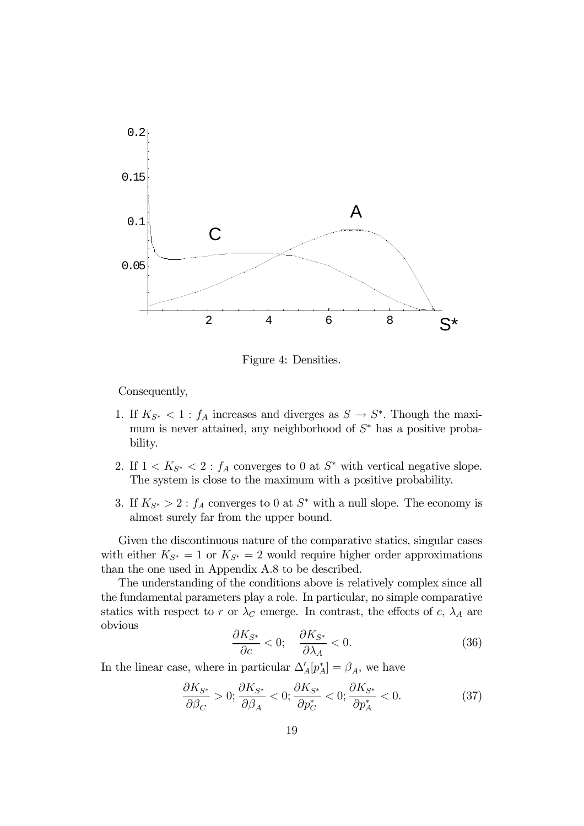

Figure 4: Densities.

Consequently,

- 1. If  $K_{S^*} < 1$ :  $f_A$  increases and diverges as  $S \to S^*$ . Though the maximum is never attained, any neighborhood of  $S^*$  has a positive probability.
- 2. If  $1 < K_{S^*} < 2 : f_A$  converges to 0 at  $S^*$  with vertical negative slope. The system is close to the maximum with a positive probability.
- 3. If  $K_{S^*} > 2$ :  $f_A$  converges to 0 at  $S^*$  with a null slope. The economy is almost surely far from the upper bound.

Given the discontinuous nature of the comparative statics, singular cases with either  $K_{S^*} = 1$  or  $K_{S^*} = 2$  would require higher order approximations than the one used in Appendix A.8 to be described.

The understanding of the conditions above is relatively complex since all the fundamental parameters play a role. In particular, no simple comparative statics with respect to r or  $\lambda_C$  emerge. In contrast, the effects of c,  $\lambda_A$  are obvious

$$
\frac{\partial K_{S^*}}{\partial c} < 0; \quad \frac{\partial K_{S^*}}{\partial \lambda_A} < 0. \tag{36}
$$

In the linear case, where in particular  $\Delta'_{A}[p_{A}^{*}] = \beta_{A}$ , we have

$$
\frac{\partial K_{S^*}}{\partial \beta_C} > 0; \frac{\partial K_{S^*}}{\partial \beta_A} < 0; \frac{\partial K_{S^*}}{\partial p_C^*} < 0; \frac{\partial K_{S^*}}{\partial p_A^*} < 0.
$$
 (37)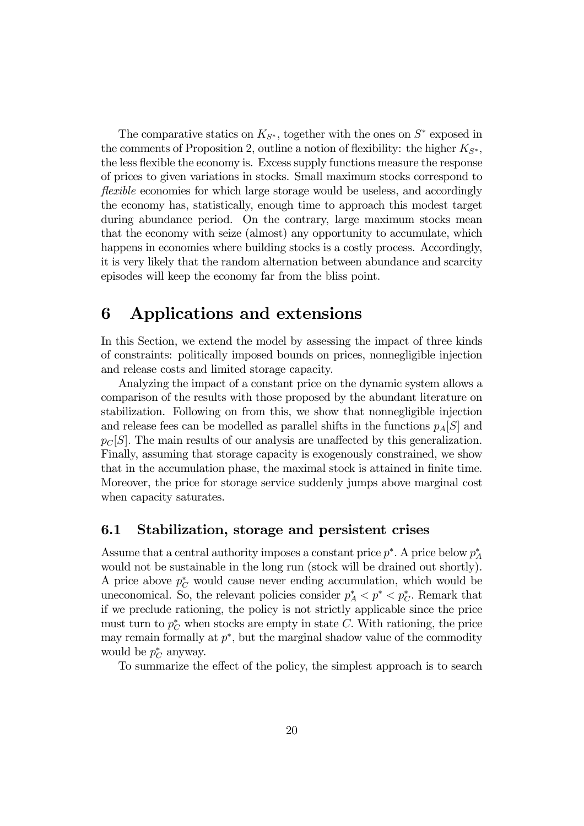The comparative statics on  $K_{S^*}$ , together with the ones on  $S^*$  exposed in the comments of Proposition 2, outline a notion of flexibility: the higher  $K_{S^*}$ , the less flexible the economy is. Excess supply functions measure the response of prices to given variations in stocks. Small maximum stocks correspond to flexible economies for which large storage would be useless, and accordingly the economy has, statistically, enough time to approach this modest target during abundance period. On the contrary, large maximum stocks mean that the economy with seize (almost) any opportunity to accumulate, which happens in economies where building stocks is a costly process. Accordingly, it is very likely that the random alternation between abundance and scarcity episodes will keep the economy far from the bliss point.

# 6 Applications and extensions

In this Section, we extend the model by assessing the impact of three kinds of constraints: politically imposed bounds on prices, nonnegligible injection and release costs and limited storage capacity.

Analyzing the impact of a constant price on the dynamic system allows a comparison of the results with those proposed by the abundant literature on stabilization. Following on from this, we show that nonnegligible injection and release fees can be modelled as parallel shifts in the functions  $p_A[S]$  and  $p<sub>C</sub>[S]$ . The main results of our analysis are unaffected by this generalization. Finally, assuming that storage capacity is exogenously constrained, we show that in the accumulation phase, the maximal stock is attained in finite time. Moreover, the price for storage service suddenly jumps above marginal cost when capacity saturates.

## 6.1 Stabilization, storage and persistent crises

Assume that a central authority imposes a constant price  $p^*$ . A price below  $p_A^*$ would not be sustainable in the long run (stock will be drained out shortly). A price above  $p_C^*$  would cause never ending accumulation, which would be uneconomical. So, the relevant policies consider  $p_A^* < p^* < p_C^*$ . Remark that if we preclude rationing, the policy is not strictly applicable since the price must turn to  $p_C^*$  when stocks are empty in state C. With rationing, the price may remain formally at  $p^*$ , but the marginal shadow value of the commodity would be  $p_C^*$  anyway.

To summarize the effect of the policy, the simplest approach is to search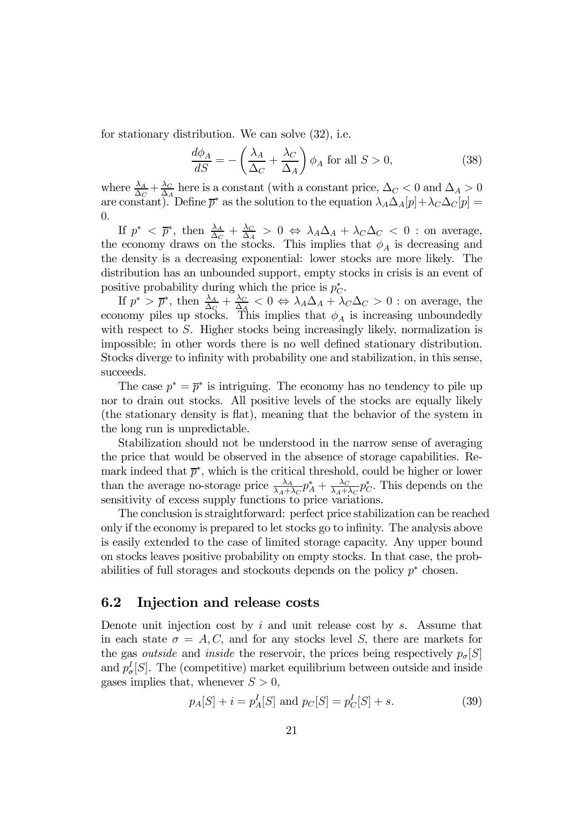for stationary distribution. We can solve (32), i.e.

$$
\frac{d\phi_A}{dS} = -\left(\frac{\lambda_A}{\Delta_C} + \frac{\lambda_C}{\Delta_A}\right)\phi_A \text{ for all } S > 0,
$$
\n(38)

where  $\frac{\lambda_A}{\Delta_C} + \frac{\lambda_C}{\Delta_A}$  here is a constant (with a constant price,  $\Delta_C < 0$  and  $\Delta_A > 0$ are constant). Define  $\overline{p}^*$  as the solution to the equation  $\lambda_A\Delta_A[p]+\lambda_C\Delta_C[p] =$ 0.

If  $p^* < \overline{p}^*$ , then  $\frac{\lambda_A}{\Delta_C} + \frac{\lambda_C}{\Delta_A} > 0 \Leftrightarrow \lambda_A \Delta_A + \lambda_C \Delta_C < 0$  : on average, the economy draws on the stocks. This implies that  $\phi_A$  is decreasing and the density is a decreasing exponential: lower stocks are more likely. The distribution has an unbounded support, empty stocks in crisis is an event of positive probability during which the price is  $p_C^*$ .

If  $p^* > \overline{p}^*$ , then  $\frac{\lambda_A}{\Delta_C} + \frac{\lambda_C}{\Delta_A} < 0 \Leftrightarrow \lambda_A \Delta_A + \lambda_C \Delta_C > 0$  : on average, the economy piles up stocks. This implies that  $\phi_A$  is increasing unboundedly with respect to S. Higher stocks being increasingly likely, normalization is impossible; in other words there is no well defined stationary distribution. Stocks diverge to infinity with probability one and stabilization, in this sense, succeeds.

The case  $p^* = \overline{p}^*$  is intriguing. The economy has no tendency to pile up nor to drain out stocks. All positive levels of the stocks are equally likely (the stationary density is flat), meaning that the behavior of the system in the long run is unpredictable.

Stabilization should not be understood in the narrow sense of averaging the price that would be observed in the absence of storage capabilities. Remark indeed that  $\bar{p}^*$ , which is the critical threshold, could be higher or lower than the average no-storage price  $\frac{\lambda_A}{\lambda_A+\lambda_C}p_A^* + \frac{\lambda_C}{\lambda_A+\lambda_C}p_C^*$ . This depends on the sensitivity of excess supply functions to price variations.

The conclusion is straightforward: perfect price stabilization can be reached only if the economy is prepared to let stocks go to infinity. The analysis above is easily extended to the case of limited storage capacity. Any upper bound on stocks leaves positive probability on empty stocks. In that case, the probabilities of full storages and stockouts depends on the policy  $p^*$  chosen.

## 6.2 Injection and release costs

Denote unit injection cost by  $i$  and unit release cost by  $s$ . Assume that in each state  $\sigma = A, C$ , and for any stocks level S, there are markets for the gas *outside* and *inside* the reservoir, the prices being respectively  $p_{\sigma}[S]$ and  $p_{\sigma}^{I}[S]$ . The (competitive) market equilibrium between outside and inside gases implies that, whenever  $S > 0$ ,

$$
p_A[S] + i = p_A^I[S]
$$
 and  $p_C[S] = p_C^I[S] + s.$  (39)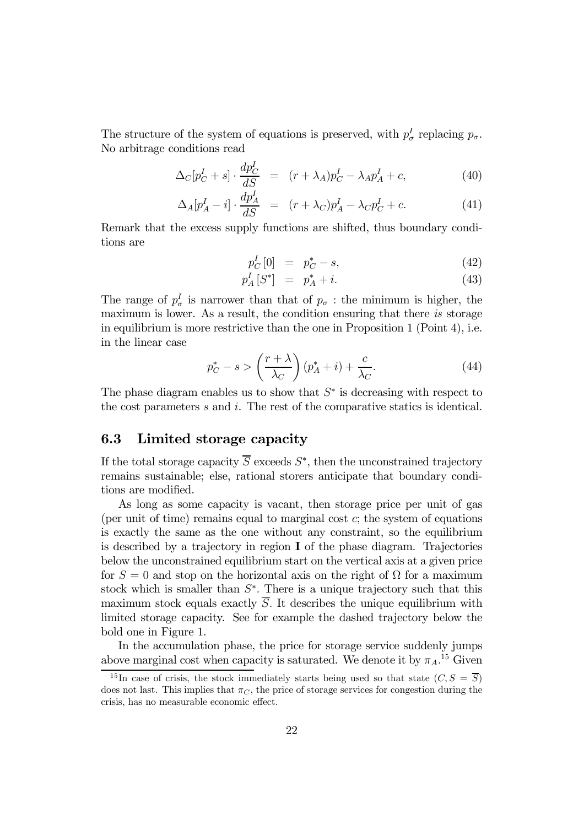The structure of the system of equations is preserved, with  $p_{\sigma}^{I}$  replacing  $p_{\sigma}$ . No arbitrage conditions read

$$
\Delta_C[p_C^I + s] \cdot \frac{dp_C^I}{dS} = (r + \lambda_A)p_C^I - \lambda_A p_A^I + c,\tag{40}
$$

$$
\Delta_A[p_A^I - i] \cdot \frac{dp_A^I}{dS} = (r + \lambda_C)p_A^I - \lambda_C p_C^I + c. \tag{41}
$$

Remark that the excess supply functions are shifted, thus boundary conditions are

$$
p_C^I[0] = p_C^* - s,\t\t(42)
$$

$$
p_A^I[S^*] = p_A^* + i. \tag{43}
$$

The range of  $p_{\sigma}^I$  is narrower than that of  $p_{\sigma}$ : the minimum is higher, the maximum is lower. As a result, the condition ensuring that there is storage in equilibrium is more restrictive than the one in Proposition 1 (Point 4), i.e. in the linear case

$$
p_C^* - s > \left(\frac{r+\lambda}{\lambda_C}\right)(p_A^* + i) + \frac{c}{\lambda_C}.\tag{44}
$$

The phase diagram enables us to show that  $S^*$  is decreasing with respect to the cost parameters  $s$  and  $i$ . The rest of the comparative statics is identical.

## 6.3 Limited storage capacity

If the total storage capacity  $\overline{S}$  exceeds  $S^*$ , then the unconstrained trajectory remains sustainable; else, rational storers anticipate that boundary conditions are modified.

As long as some capacity is vacant, then storage price per unit of gas (per unit of time) remains equal to marginal cost  $c$ ; the system of equations is exactly the same as the one without any constraint, so the equilibrium is described by a trajectory in region  $I$  of the phase diagram. Trajectories below the unconstrained equilibrium start on the vertical axis at a given price for  $S = 0$  and stop on the horizontal axis on the right of  $\Omega$  for a maximum stock which is smaller than  $S^*$ . There is a unique trajectory such that this maximum stock equals exactly  $\overline{S}$ . It describes the unique equilibrium with limited storage capacity. See for example the dashed trajectory below the bold one in Figure 1.

In the accumulation phase, the price for storage service suddenly jumps above marginal cost when capacity is saturated. We denote it by  $\pi_A$ <sup>15</sup> Given

<sup>&</sup>lt;sup>15</sup>In case of crisis, the stock immediately starts being used so that state  $(C, S = \overline{S})$ does not last. This implies that  $\pi_C$ , the price of storage services for congestion during the crisis, has no measurable economic effect.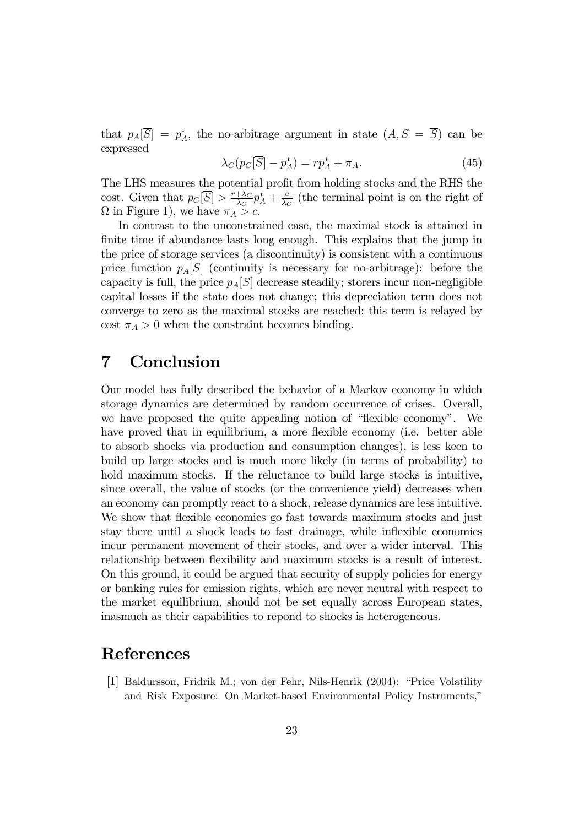that  $p_A[S] = p_A^*$ , the no-arbitrage argument in state  $(A, S = S)$  can be expressed

$$
\lambda_C(p_C[\overline{S}] - p_A^*) = rp_A^* + \pi_A. \tag{45}
$$

The LHS measures the potential profit from holding stocks and the RHS the cost. Given that  $p_C[\overline{S}] > \frac{r + \lambda_C}{\lambda_C} p_A^* + \frac{c}{\lambda_C}$  (the terminal point is on the right of  $\Omega$  in Figure 1), we have  $\pi_A > c$ .

In contrast to the unconstrained case, the maximal stock is attained in finite time if abundance lasts long enough. This explains that the jump in the price of storage services (a discontinuity) is consistent with a continuous price function  $p_A[S]$  (continuity is necessary for no-arbitrage): before the capacity is full, the price  $p_A[S]$  decrease steadily; storers incur non-negligible capital losses if the state does not change; this depreciation term does not converge to zero as the maximal stocks are reached; this term is relayed by cost  $\pi_A > 0$  when the constraint becomes binding.

# 7 Conclusion

Our model has fully described the behavior of a Markov economy in which storage dynamics are determined by random occurrence of crises. Overall, we have proposed the quite appealing notion of "flexible economy". We have proved that in equilibrium, a more flexible economy (i.e. better able to absorb shocks via production and consumption changes), is less keen to build up large stocks and is much more likely (in terms of probability) to hold maximum stocks. If the reluctance to build large stocks is intuitive, since overall, the value of stocks (or the convenience yield) decreases when an economy can promptly react to a shock, release dynamics are less intuitive. We show that flexible economies go fast towards maximum stocks and just stay there until a shock leads to fast drainage, while inflexible economies incur permanent movement of their stocks, and over a wider interval. This relationship between flexibility and maximum stocks is a result of interest. On this ground, it could be argued that security of supply policies for energy or banking rules for emission rights, which are never neutral with respect to the market equilibrium, should not be set equally across European states, inasmuch as their capabilities to repond to shocks is heterogeneous.

## References

[1] Baldursson, Fridrik M.; von der Fehr, Nils-Henrik (2004): "Price Volatility and Risk Exposure: On Market-based Environmental Policy Instruments,"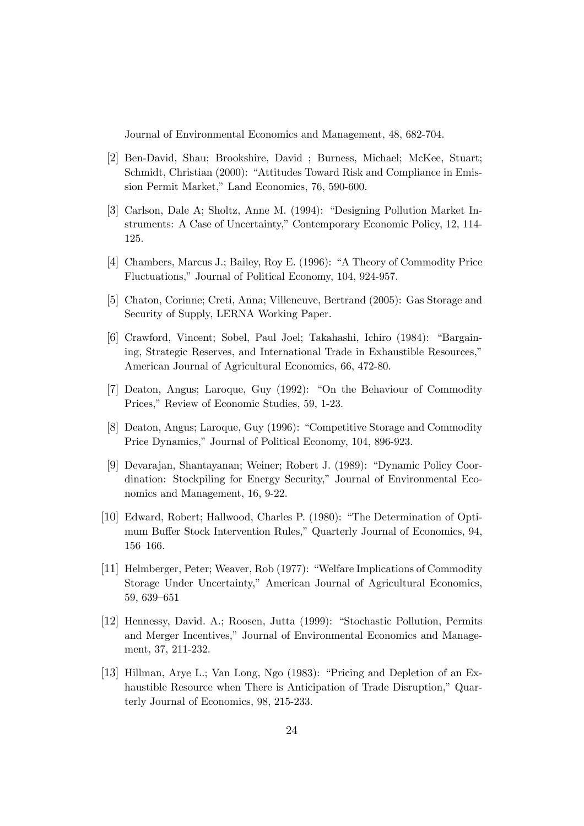Journal of Environmental Economics and Management, 48, 682-704.

- [2] Ben-David, Shau; Brookshire, David ; Burness, Michael; McKee, Stuart; Schmidt, Christian (2000): "Attitudes Toward Risk and Compliance in Emission Permit Market," Land Economics, 76, 590-600.
- [3] Carlson, Dale A; Sholtz, Anne M. (1994): "Designing Pollution Market Instruments: A Case of Uncertainty," Contemporary Economic Policy, 12, 114- 125.
- [4] Chambers, Marcus J.; Bailey, Roy E. (1996): "A Theory of Commodity Price Fluctuations," Journal of Political Economy, 104, 924-957.
- [5] Chaton, Corinne; Creti, Anna; Villeneuve, Bertrand (2005): Gas Storage and Security of Supply, LERNA Working Paper.
- [6] Crawford, Vincent; Sobel, Paul Joel; Takahashi, Ichiro (1984): "Bargaining, Strategic Reserves, and International Trade in Exhaustible Resources," American Journal of Agricultural Economics, 66, 472-80.
- [7] Deaton, Angus; Laroque, Guy (1992): "On the Behaviour of Commodity Prices," Review of Economic Studies, 59, 1-23.
- [8] Deaton, Angus; Laroque, Guy (1996): "Competitive Storage and Commodity Price Dynamics," Journal of Political Economy, 104, 896-923.
- [9] Devarajan, Shantayanan; Weiner; Robert J. (1989): "Dynamic Policy Coordination: Stockpiling for Energy Security," Journal of Environmental Economics and Management, 16, 9-22.
- [10] Edward, Robert; Hallwood, Charles P. (1980): "The Determination of Optimum Buffer Stock Intervention Rules," Quarterly Journal of Economics, 94, 156—166.
- [11] Helmberger, Peter; Weaver, Rob (1977): "Welfare Implications of Commodity Storage Under Uncertainty," American Journal of Agricultural Economics, 59, 639—651
- [12] Hennessy, David. A.; Roosen, Jutta (1999): "Stochastic Pollution, Permits and Merger Incentives," Journal of Environmental Economics and Management, 37, 211-232.
- [13] Hillman, Arye L.; Van Long, Ngo (1983): "Pricing and Depletion of an Exhaustible Resource when There is Anticipation of Trade Disruption," Quarterly Journal of Economics, 98, 215-233.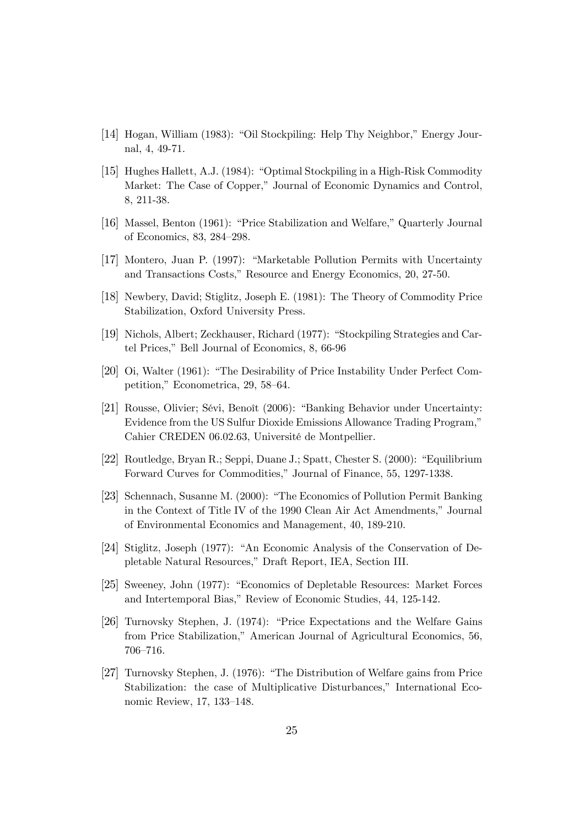- [14] Hogan, William (1983): "Oil Stockpiling: Help Thy Neighbor," Energy Journal, 4, 49-71.
- [15] Hughes Hallett, A.J. (1984): "Optimal Stockpiling in a High-Risk Commodity Market: The Case of Copper," Journal of Economic Dynamics and Control, 8, 211-38.
- [16] Massel, Benton (1961): "Price Stabilization and Welfare," Quarterly Journal of Economics, 83, 284—298.
- [17] Montero, Juan P. (1997): "Marketable Pollution Permits with Uncertainty and Transactions Costs," Resource and Energy Economics, 20, 27-50.
- [18] Newbery, David; Stiglitz, Joseph E. (1981): The Theory of Commodity Price Stabilization, Oxford University Press.
- [19] Nichols, Albert; Zeckhauser, Richard (1977): "Stockpiling Strategies and Cartel Prices," Bell Journal of Economics, 8, 66-96
- [20] Oi, Walter (1961): "The Desirability of Price Instability Under Perfect Competition," Econometrica, 29, 58—64.
- [21] Rousse, Olivier; Sévi, Benoît (2006): "Banking Behavior under Uncertainty: Evidence from the US Sulfur Dioxide Emissions Allowance Trading Program," Cahier CREDEN 06.02.63, Université de Montpellier.
- [22] Routledge, Bryan R.; Seppi, Duane J.; Spatt, Chester S. (2000): "Equilibrium Forward Curves for Commodities," Journal of Finance, 55, 1297-1338.
- [23] Schennach, Susanne M. (2000): "The Economics of Pollution Permit Banking in the Context of Title IV of the 1990 Clean Air Act Amendments," Journal of Environmental Economics and Management, 40, 189-210.
- [24] Stiglitz, Joseph (1977): "An Economic Analysis of the Conservation of Depletable Natural Resources," Draft Report, IEA, Section III.
- [25] Sweeney, John (1977): "Economics of Depletable Resources: Market Forces and Intertemporal Bias," Review of Economic Studies, 44, 125-142.
- [26] Turnovsky Stephen, J. (1974): "Price Expectations and the Welfare Gains from Price Stabilization," American Journal of Agricultural Economics, 56, 706—716.
- [27] Turnovsky Stephen, J. (1976): "The Distribution of Welfare gains from Price Stabilization: the case of Multiplicative Disturbances," International Economic Review, 17, 133—148.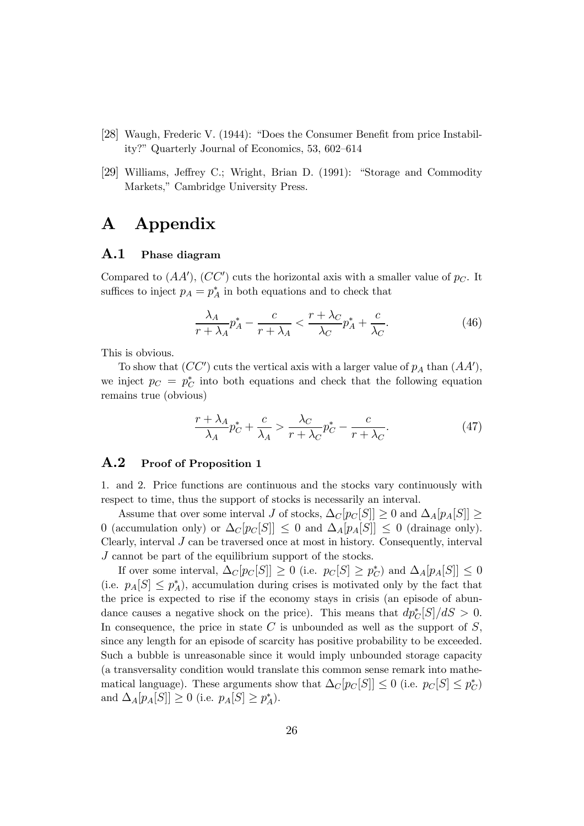- [28] Waugh, Frederic V. (1944): "Does the Consumer Benefit from price Instability?" Quarterly Journal of Economics, 53, 602—614
- [29] Williams, Jeffrey C.; Wright, Brian D. (1991): "Storage and Commodity Markets," Cambridge University Press.

# A Appendix

#### A.1 Phase diagram

Compared to  $(AA'), (CC')$  cuts the horizontal axis with a smaller value of  $p_C$ . It suffices to inject  $p_A = p_A^*$  in both equations and to check that

$$
\frac{\lambda_A}{r + \lambda_A} p_A^* - \frac{c}{r + \lambda_A} < \frac{r + \lambda_C}{\lambda_C} p_A^* + \frac{c}{\lambda_C}.\tag{46}
$$

This is obvious.

To show that  $(CC')$  cuts the vertical axis with a larger value of  $p_A$  than  $(AA')$ , we inject  $p_C = p_C^*$  into both equations and check that the following equation remains true (obvious)

$$
\frac{r + \lambda_A}{\lambda_A} p_C^* + \frac{c}{\lambda_A} > \frac{\lambda_C}{r + \lambda_C} p_C^* - \frac{c}{r + \lambda_C}.\tag{47}
$$

### A.2 Proof of Proposition 1

1. and 2. Price functions are continuous and the stocks vary continuously with respect to time, thus the support of stocks is necessarily an interval.

Assume that over some interval J of stocks,  $\Delta_C[p_C[S]] \geq 0$  and  $\Delta_A[p_A[S]] \geq 0$ 0 (accumulation only) or  $\Delta_C[p_C[S]] \leq 0$  and  $\Delta_A[p_A[S]] \leq 0$  (drainage only). Clearly, interval  $J$  can be traversed once at most in history. Consequently, interval J cannot be part of the equilibrium support of the stocks.

If over some interval,  $\Delta_C[p_C[S]] \geq 0$  (i.e.  $p_C[S] \geq p_C^*$ ) and  $\Delta_A[p_A[S]] \leq 0$ (i.e.  $p_A[S] \leq p_A^*$ ), accumulation during crises is motivated only by the fact that the price is expected to rise if the economy stays in crisis (an episode of abundance causes a negative shock on the price). This means that  $dp_C^*[S]/dS > 0$ . In consequence, the price in state  $C$  is unbounded as well as the support of  $S$ , since any length for an episode of scarcity has positive probability to be exceeded. Such a bubble is unreasonable since it would imply unbounded storage capacity (a transversality condition would translate this common sense remark into mathematical language). These arguments show that  $\Delta_C[p_C[S]] \leq 0$  (i.e.  $p_C[S] \leq p_C^*$ ) and  $\Delta_A[p_A[S]] \geq 0$  (i.e.  $p_A[S] \geq p_A^*$ ).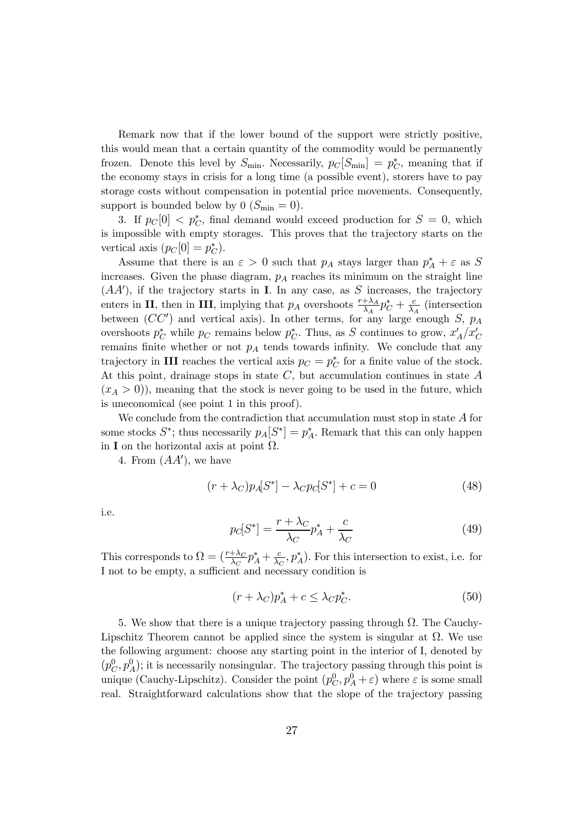Remark now that if the lower bound of the support were strictly positive, this would mean that a certain quantity of the commodity would be permanently frozen. Denote this level by  $S_{\text{min}}$ . Necessarily,  $p_C[S_{\text{min}}] = p_C^*$ , meaning that if the economy stays in crisis for a long time (a possible event), storers have to pay storage costs without compensation in potential price movements. Consequently, support is bounded below by 0 ( $S_{\text{min}} = 0$ ).

3. If  $p_C[0] < p_C^*$ , final demand would exceed production for  $S = 0$ , which is impossible with empty storages. This proves that the trajectory starts on the vertical axis  $(p_C[0] = p_C^*).$ 

Assume that there is an  $\varepsilon > 0$  such that  $p_A$  stays larger than  $p_A^* + \varepsilon$  as S increases. Given the phase diagram,  $p_A$  reaches its minimum on the straight line  $(AA')$ , if the trajectory starts in **I**. In any case, as S increases, the trajectory enters in II, then in III, implying that  $p_A$  overshoots  $\frac{r+\lambda_A}{\lambda_A}p_C^* + \frac{c}{\lambda_A}$  (intersection between  $(CC')$  and vertical axis). In other terms, for any large enough S,  $p_A$ overshoots  $p_C^*$  while  $p_C$  remains below  $p_C^*$ . Thus, as S continues to grow,  $x'_A/x'_C$ remains finite whether or not  $p_A$  tends towards infinity. We conclude that any trajectory in **III** reaches the vertical axis  $p_C = p_C^*$  for a finite value of the stock. At this point, drainage stops in state  $C$ , but accumulation continues in state  $A$  $(x_A > 0)$ , meaning that the stock is never going to be used in the future, which is uneconomical (see point 1 in this proof).

We conclude from the contradiction that accumulation must stop in state  $A$  for some stocks  $S^*$ ; thus necessarily  $p_A[S^*] = p_A^*$ . Remark that this can only happen in I on the horizontal axis at point  $\Omega$ .

4. From  $(AA')$ , we have

$$
(r + \lambda_C)p_A[S^*] - \lambda_C p_C[S^*] + c = 0
$$
\n(48)

i.e.

$$
p_C[S^*] = \frac{r + \lambda_C}{\lambda_C} p_A^* + \frac{c}{\lambda_C} \tag{49}
$$

This corresponds to  $\Omega = \left(\frac{r+\lambda_C}{\lambda_C}p_A^* + \frac{c}{\lambda_C}, p_A^*\right)$ . For this intersection to exist, i.e. for I not to be empty, a sufficient and necessary condition is

$$
(r + \lambda_C)p_A^* + c \le \lambda_C p_C^*.
$$
 (50)

5. We show that there is a unique trajectory passing through  $\Omega$ . The Cauchy-Lipschitz Theorem cannot be applied since the system is singular at  $\Omega$ . We use the following argument: choose any starting point in the interior of I, denoted by  $(p_C^0, p_A^0)$ ; it is necessarily nonsingular. The trajectory passing through this point is unique (Cauchy-Lipschitz). Consider the point  $(p_C^0, p_A^0 + \varepsilon)$  where  $\varepsilon$  is some small real. Straightforward calculations show that the slope of the trajectory passing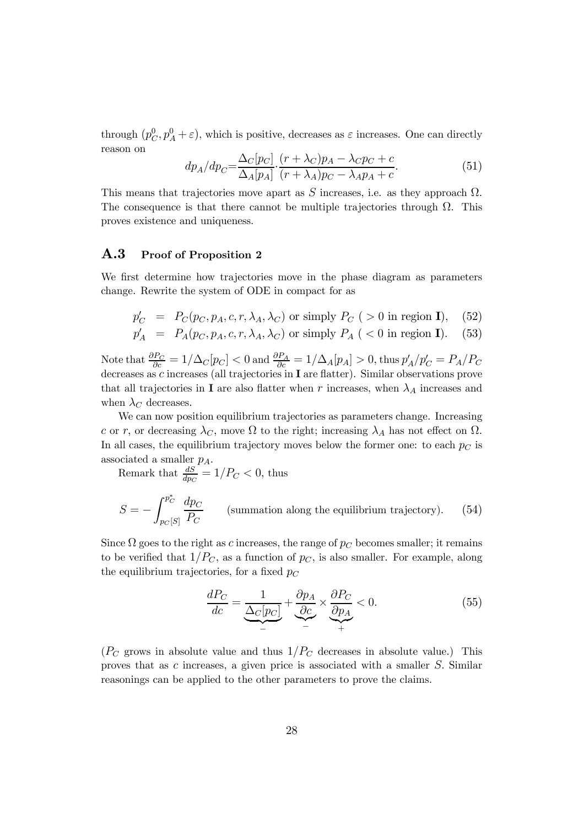through  $(p_C^0, p_A^0 + \varepsilon)$ , which is positive, decreases as  $\varepsilon$  increases. One can directly reason on

$$
dp_A/dp_C = \frac{\Delta_C[p_C]}{\Delta_A[p_A]} \cdot \frac{(r + \lambda_C)p_A - \lambda_C p_C + c}{(r + \lambda_A)p_C - \lambda_A p_A + c}.\tag{51}
$$

This means that trajectories move apart as S increases, i.e. as they approach  $\Omega$ . The consequence is that there cannot be multiple trajectories through  $\Omega$ . This proves existence and uniqueness.

### A.3 Proof of Proposition 2

We first determine how trajectories move in the phase diagram as parameters change. Rewrite the system of ODE in compact for as

$$
p'_{C} = P_{C}(p_{C}, p_{A}, c, r, \lambda_{A}, \lambda_{C}) \text{ or simply } P_{C} \text{ (} > 0 \text{ in region } \mathbf{I}\text{)}, \quad (52)
$$
\n
$$
p'_{A} = P_{A}(p_{C}, p_{A}, c, r, \lambda_{A}, \lambda_{C}) \text{ or simply } P_{A} \text{ (} < 0 \text{ in region } \mathbf{I}\text{)}. \quad (53)
$$

Note that  $\frac{\partial P_C}{\partial c} = 1/\Delta_C[p_C] < 0$  and  $\frac{\partial P_A}{\partial c} = 1/\Delta_A[p_A] > 0$ , thus  $p'_A/p'_C = P_A/P_C$ decreases as c increases (all trajectories in I are flatter). Similar observations prove that all trajectories in **I** are also flatter when r increases, when  $\lambda_A$  increases and when  $\lambda_C$  decreases.

We can now position equilibrium trajectories as parameters change. Increasing c or r, or decreasing  $\lambda_C$ , move  $\Omega$  to the right; increasing  $\lambda_A$  has not effect on  $\Omega$ . In all cases, the equilibrium trajectory moves below the former one: to each  $p<sub>C</sub>$  is associated a smaller  $p_A$ .

Remark that  $\frac{dS}{dp_C} = 1/P_C < 0$ , thus

$$
S = -\int_{p_C[S]}^{p_C^*} \frac{dp_C}{P_C}
$$
 (summation along the equilibrium trajectory). (54)

Since  $\Omega$  goes to the right as c increases, the range of  $p_C$  becomes smaller; it remains to be verified that  $1/P<sub>C</sub>$ , as a function of  $p<sub>C</sub>$ , is also smaller. For example, along the equilibrium trajectories, for a fixed  $p_C$ 

$$
\frac{dP_C}{dc} = \underbrace{\frac{1}{\Delta_C[p_C]}}_{-} + \underbrace{\frac{\partial p_A}{\partial c}}_{+} \times \underbrace{\frac{\partial P_C}{\partial p_A}}_{+} < 0. \tag{55}
$$

 $(P_C$  grows in absolute value and thus  $1/P_C$  decreases in absolute value.) This proves that as c increases, a given price is associated with a smaller S. Similar reasonings can be applied to the other parameters to prove the claims.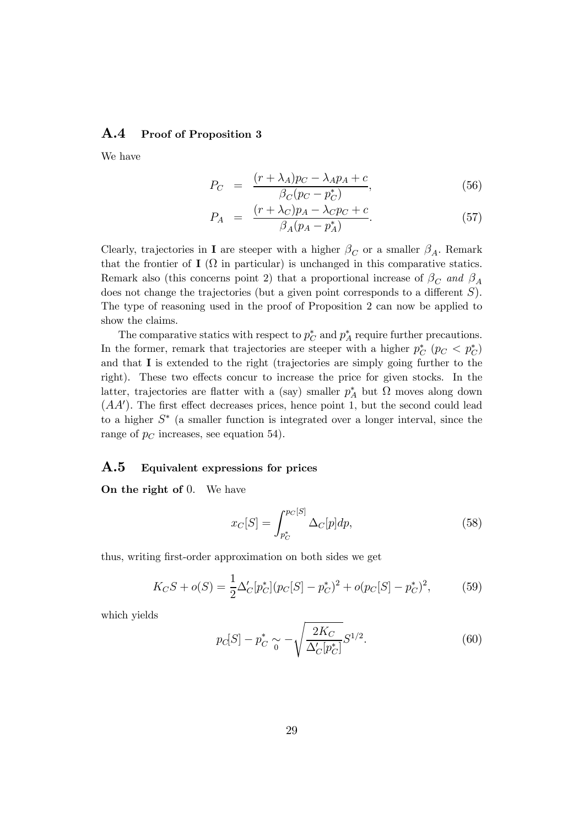### A.4 Proof of Proposition 3

We have

$$
P_C = \frac{(r + \lambda_A)p_C - \lambda_A p_A + c}{\beta_C(p_C - p_C^*)},\tag{56}
$$

$$
P_A = \frac{(r + \lambda_C)p_A - \lambda_C p_C + c}{\beta_A (p_A - p_A^*)}.
$$
\n
$$
(57)
$$

Clearly, trajectories in **I** are steeper with a higher  $\beta_C$  or a smaller  $\beta_A$ . Remark that the frontier of  $I(\Omega)$  in particular) is unchanged in this comparative statics. Remark also (this concerns point 2) that a proportional increase of  $\beta_C$  and  $\beta_A$ does not change the trajectories (but a given point corresponds to a different  $S$ ). The type of reasoning used in the proof of Proposition 2 can now be applied to show the claims.

The comparative statics with respect to  $p_C^*$  and  $p_A^*$  require further precautions. In the former, remark that trajectories are steeper with a higher  $p_C^*$  ( $p_C < p_C^*$ ) and that I is extended to the right (trajectories are simply going further to the right). These two effects concur to increase the price for given stocks. In the latter, trajectories are flatter with a (say) smaller  $p_A^*$  but  $\Omega$  moves along down  $(AA')$ . The first effect decreases prices, hence point 1, but the second could lead to a higher  $S^*$  (a smaller function is integrated over a longer interval, since the range of  $p<sub>C</sub>$  increases, see equation 54).

## A.5 Equivalent expressions for prices

On the right of 0. We have

$$
x_C[S] = \int_{p_C^*}^{p_C[S]} \Delta_C[p] dp,
$$
\n(58)

thus, writing first-order approximation on both sides we get

$$
K_C S + o(S) = \frac{1}{2} \Delta'_C [p_C^*] (p_C [S] - p_C^*)^2 + o(p_C [S] - p_C^*)^2, \tag{59}
$$

which yields

$$
p_C[S] - p_C^* \sim -\sqrt{\frac{2K_C}{\Delta'_C[p_C^*]}} S^{1/2}.
$$
 (60)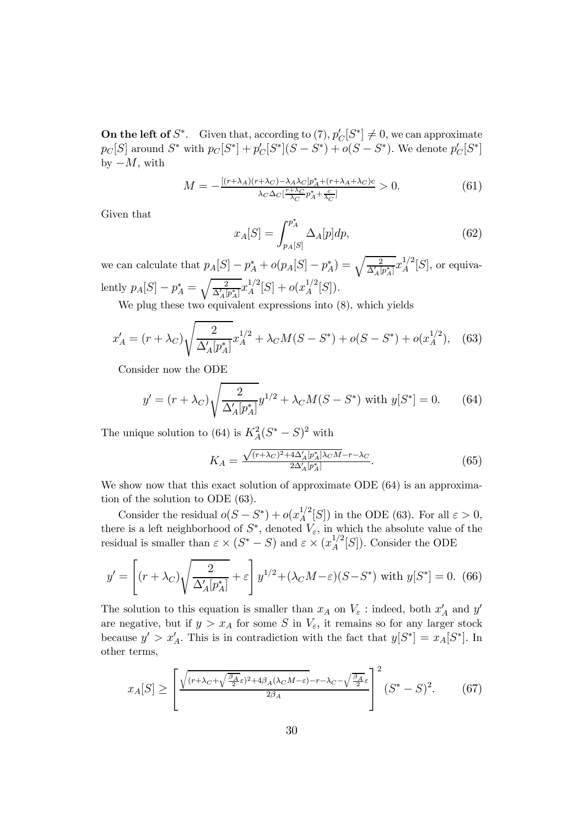**On the left of**  $S^*$ . Given that, according to  $(7)$ ,  $p'_C[S^*] \neq 0$ , we can approximate  $p_C[S]$  around  $S^*$  with  $p_C[S^*] + p'_C[S^*](S - S^*) + o(S - S^*)$ . We denote  $p'_C[S^*]$ by  $-M$ , with

$$
M = -\frac{[(r+\lambda_A)(r+\lambda_C) - \lambda_A \lambda_C] p_A^* + (r+\lambda_A + \lambda_C)c}{\lambda_C \Delta_C \left[\frac{r+\lambda_C}{\lambda_C} p_A^* + \frac{c}{\lambda_C}\right]} > 0.
$$
 (61)

Given that

$$
x_A[S] = \int_{p_A[S]}^{p_A^*} \Delta_A[p] dp,
$$
\n(62)

we can calculate that  $p_A[S] - p_A^* + o(p_A[S] - p_A^*) = \sqrt{\frac{2}{\Delta'_A[p_A^*]}} x_A^{1/2}[S]$ , or equivalently  $p_A[S] - p_A^* = \sqrt{\frac{2}{\Delta'_A [s]}}$  $\frac{2}{\Delta_A'[p_A^*]}x_A^{1/2}[S] + o(x_A^{1/2}[S]).$ 

We plug these two equivalent expressions into  $(8)$ , which yields

$$
x'_{A} = (r + \lambda_{C}) \sqrt{\frac{2}{\Delta'_{A}[p_{A}^{*}]}} x_{A}^{1/2} + \lambda_{C} M(S - S^{*}) + o(S - S^{*}) + o(x_{A}^{1/2}), \quad (63)
$$

Consider now the ODE

$$
y' = (r + \lambda_C) \sqrt{\frac{2}{\Delta_A' [p_A^*]}} y^{1/2} + \lambda_C M(S - S^*) \text{ with } y[S^*] = 0. \tag{64}
$$

The unique solution to (64) is  $K_A^2(S^* - S)^2$  with

$$
K_A = \frac{\sqrt{(r + \lambda_C)^2 + 4\Delta_A' [p_A^*] \lambda_C M} - r - \lambda_C}{2\Delta_A' [p_A^*]}.
$$
\n
$$
(65)
$$

We show now that this exact solution of approximate ODE  $(64)$  is an approximation of the solution to ODE (63).

Consider the residual  $o(S - S^*) + o(x_A^{1/2}[S])$  in the ODE (63). For all  $\varepsilon > 0$ , there is a left neighborhood of  $S^*$ , denoted  $V_{\varepsilon}$ , in which the absolute value of the residual is smaller than  $\varepsilon \times (S^* - S)$  and  $\varepsilon \times (x_A^{1/2}[S])$ . Consider the ODE

$$
y' = \left[ (r + \lambda_C) \sqrt{\frac{2}{\Delta_A' [p_A^*]}} + \varepsilon \right] y^{1/2} + (\lambda_C M - \varepsilon)(S - S^*) \text{ with } y[S^*] = 0. \tag{66}
$$

The solution to this equation is smaller than  $x_A$  on  $V_\varepsilon$  : indeed, both  $x'_A$  and  $y'$ are negative, but if  $y > x_A$  for some S in  $V_{\varepsilon}$ , it remains so for any larger stock because  $y' > x'_A$ . This is in contradiction with the fact that  $y[S^*] = x_A[S^*]$ . In other terms,

$$
x_A[S] \ge \left[ \frac{\sqrt{(r+\lambda_C + \sqrt{\frac{\beta_A}{2}}\varepsilon)^2 + 4\beta_A(\lambda_C M - \varepsilon)} - r - \lambda_C - \sqrt{\frac{\beta_A}{2}}\varepsilon}{2\beta_A} \right]^2 (S^* - S)^2. \tag{67}
$$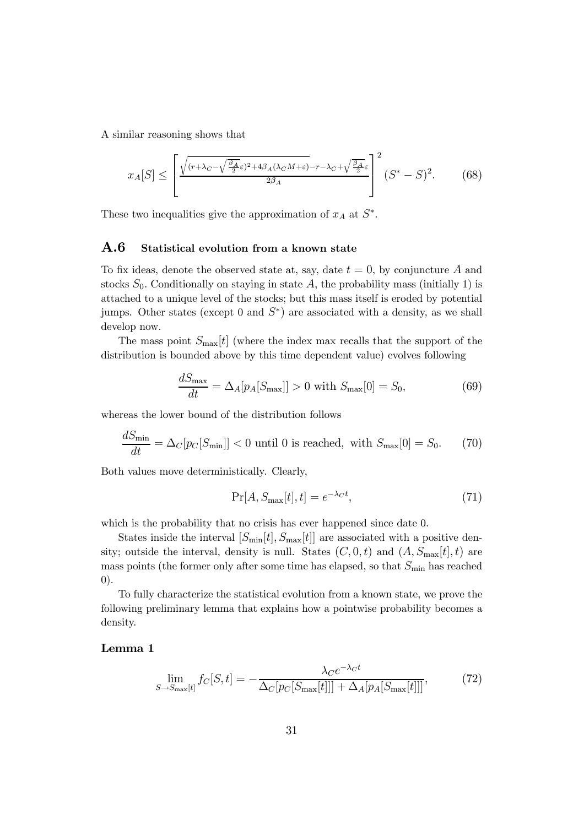A similar reasoning shows that

$$
x_A[S] \le \left[ \frac{\sqrt{(r+\lambda_C - \sqrt{\frac{\beta_A}{2}}\varepsilon)^2 + 4\beta_A(\lambda_C M + \varepsilon)} - r - \lambda_C + \sqrt{\frac{\beta_A}{2}}\varepsilon}{2\beta_A} \right]^2 (S^* - S)^2. \tag{68}
$$

These two inequalities give the approximation of  $x_A$  at  $S^*$ .

### A.6 Statistical evolution from a known state

To fix ideas, denote the observed state at, say, date  $t = 0$ , by conjuncture A and stocks  $S_0$ . Conditionally on staying in state A, the probability mass (initially 1) is attached to a unique level of the stocks; but this mass itself is eroded by potential jumps. Other states (except 0 and  $S^*$ ) are associated with a density, as we shall develop now.

The mass point  $S_{\text{max}}[t]$  (where the index max recalls that the support of the distribution is bounded above by this time dependent value) evolves following

$$
\frac{dS_{\text{max}}}{dt} = \Delta_A[p_A[S_{\text{max}}]] > 0 \text{ with } S_{\text{max}}[0] = S_0,\tag{69}
$$

whereas the lower bound of the distribution follows

$$
\frac{dS_{\min}}{dt} = \Delta_C[p_C[S_{\min}]] < 0 \text{ until } 0 \text{ is reached, with } S_{\max}[0] = S_0. \tag{70}
$$

Both values move deterministically. Clearly,

$$
\Pr[A, S_{\text{max}}[t], t] = e^{-\lambda_C t},\tag{71}
$$

which is the probability that no crisis has ever happened since date 0.

States inside the interval  $[S_{\min}[t], S_{\max}[t]]$  are associated with a positive density; outside the interval, density is null. States  $(C, 0, t)$  and  $(A, S_{\text{max}}[t], t)$  are mass points (the former only after some time has elapsed, so that  $S_{\text{min}}$  has reached 0).

To fully characterize the statistical evolution from a known state, we prove the following preliminary lemma that explains how a pointwise probability becomes a density.

#### Lemma 1

$$
\lim_{S \to S_{\text{max}}[t]} f_C[S, t] = -\frac{\lambda_C e^{-\lambda_C t}}{\Delta_C [p_C[S_{\text{max}}[t]]] + \Delta_A [p_A[S_{\text{max}}[t]]]},\tag{72}
$$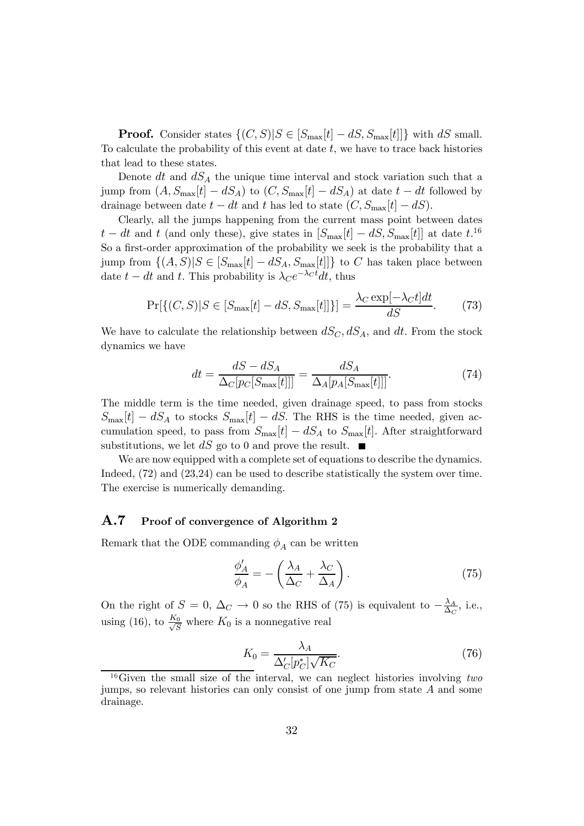**Proof.** Consider states  $\{(C, S)|S \in [S_{\text{max}}[t] - dS, S_{\text{max}}[t]]\}$  with dS small. To calculate the probability of this event at date  $t$ , we have to trace back histories that lead to these states.

Denote dt and  $dS_A$  the unique time interval and stock variation such that a jump from  $(A, S_{\text{max}}[t] - dS_A)$  to  $(C, S_{\text{max}}[t] - dS_A)$  at date  $t - dt$  followed by drainage between date  $t - dt$  and t has led to state  $(C, S_{\text{max}}[t] - dS)$ .

Clearly, all the jumps happening from the current mass point between dates  $t - dt$  and t (and only these), give states in  $[S_{\text{max}}[t] - dS, S_{\text{max}}[t]]$  at date  $t$ .<sup>16</sup> So a first-order approximation of the probability we seek is the probability that a jump from  $\{(A, S)|S \in [S_{\text{max}}[t] - dS_A, S_{\text{max}}[t]]\}$  to C has taken place between date  $t - dt$  and t. This probability is  $\lambda_C e^{-\lambda_C t} dt$ , thus

$$
\Pr[\{(C, S) | S \in [S_{\text{max}}[t] - dS, S_{\text{max}}[t]]\}] = \frac{\lambda_C \exp[-\lambda_C t]dt}{dS}.
$$
 (73)

We have to calculate the relationship between  $dS_C, dS_A$ , and dt. From the stock dynamics we have

$$
dt = \frac{dS - dS_A}{\Delta_C[p_C[S_{\text{max}}[t]]]} = \frac{dS_A}{\Delta_A[p_A[S_{\text{max}}[t]]]}.
$$
(74)

The middle term is the time needed, given drainage speed, to pass from stocks  $S_{\text{max}}[t] - dS_A$  to stocks  $S_{\text{max}}[t] - dS$ . The RHS is the time needed, given accumulation speed, to pass from  $S_{\text{max}}[t] - dS_A$  to  $S_{\text{max}}[t]$ . After straightforward substitutions, we let  $dS$  go to 0 and prove the result.

We are now equipped with a complete set of equations to describe the dynamics. Indeed, (72) and (23,24) can be used to describe statistically the system over time. The exercise is numerically demanding.

### A.7 Proof of convergence of Algorithm 2

Remark that the ODE commanding  $\phi_A$  can be written

$$
\frac{\phi'_A}{\phi_A} = -\left(\frac{\lambda_A}{\Delta_C} + \frac{\lambda_C}{\Delta_A}\right). \tag{75}
$$

On the right of  $S = 0$ ,  $\Delta_C \rightarrow 0$  so the RHS of (75) is equivalent to  $-\frac{\lambda_A}{\Delta_C}$ , i.e., using (16), to  $\frac{K_0}{\sqrt{S}}$  where  $K_0$  is a nonnegative real

$$
K_0 = \frac{\lambda_A}{\Delta'_C[p_C^*]\sqrt{K_C}}.\tag{76}
$$

<sup>&</sup>lt;sup>16</sup>Given the small size of the interval, we can neglect histories involving two jumps, so relevant histories can only consist of one jump from state  $A$  and some drainage.